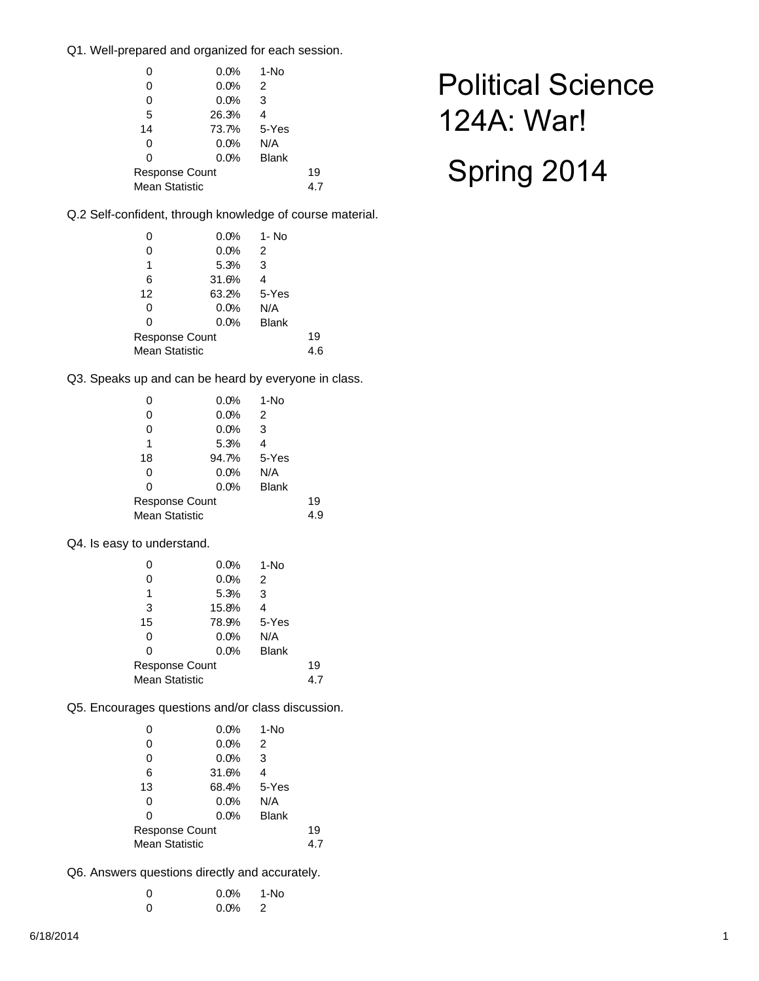Q1. Well-prepared and organized for each session.

| 0              | 0.0%  | $1-NO$       |     |  |  |
|----------------|-------|--------------|-----|--|--|
| 0              | 0.0%  | 2            |     |  |  |
| 0              | 0.0%  | 3            |     |  |  |
| 5              | 26.3% | 4            |     |  |  |
| 14             | 73.7% | 5-Yes        |     |  |  |
| 0              | 0.0%  | N/A          |     |  |  |
| 0              | 0.0%  | <b>Blank</b> |     |  |  |
| Response Count |       |              | 19  |  |  |
| Mean Statistic |       |              | 4.7 |  |  |
|                |       |              |     |  |  |

Q.2 Self-confident, through knowledge of course material.

| 0                     | 0.0%  | 1- No        |     |  |
|-----------------------|-------|--------------|-----|--|
| 0                     | 0.0%  | 2            |     |  |
| 1                     | 5.3%  | 3            |     |  |
| 6                     | 31.6% | 4            |     |  |
| 12                    | 63.2% | 5-Yes        |     |  |
| 0                     | 0.0%  | N/A          |     |  |
| 0                     | 0.0%  | <b>Blank</b> |     |  |
| <b>Response Count</b> |       |              | 19  |  |
| <b>Mean Statistic</b> |       |              | 4.6 |  |

Q3. Speaks up and can be heard by everyone in class.

| 0                     | 0.0%  | 1-No         |     |  |
|-----------------------|-------|--------------|-----|--|
| 0                     | 0.0%  | 2            |     |  |
| 0                     | 0.0%  | 3            |     |  |
| 1                     | 5.3%  | 4            |     |  |
| 18                    | 94.7% | 5-Yes        |     |  |
| 0                     | 0.0%  | N/A          |     |  |
| 0                     | 0.0%  | <b>Blank</b> |     |  |
| <b>Response Count</b> |       |              | 19  |  |
| <b>Mean Statistic</b> |       |              | 4.9 |  |

Q4. Is easy to understand.

| 0                     | $0.0\%$ | 1-No         |     |  |
|-----------------------|---------|--------------|-----|--|
| 0                     | 0.0%    | 2            |     |  |
| 1                     | 5.3%    | 3            |     |  |
| 3                     | 15.8%   | 4            |     |  |
| 15                    | 78.9%   | 5-Yes        |     |  |
| 0                     | 0.0%    | N/A          |     |  |
| 0                     | 0.0%    | <b>Blank</b> |     |  |
| Response Count        |         |              | 19  |  |
| <b>Mean Statistic</b> |         |              | 4.7 |  |

Q5. Encourages questions and/or class discussion.

| 0              | 0.0%  | 1-No         |     |  |  |
|----------------|-------|--------------|-----|--|--|
| 0              | 0.0%  | 2            |     |  |  |
| 0              | 0.0%  | 3            |     |  |  |
| 6              | 31.6% | 4            |     |  |  |
| 13             | 68.4% | 5-Yes        |     |  |  |
| 0              | 0.0%  | N/A          |     |  |  |
| 0              | 0.0%  | <b>Blank</b> |     |  |  |
| Response Count |       |              | 19  |  |  |
| Mean Statistic |       |              | 4.7 |  |  |
|                |       |              |     |  |  |

Q6. Answers questions directly and accurately.

| -0 | $0.0\%$ 1-No |  |
|----|--------------|--|
| -0 | $0.0\%$ 2    |  |

# Political Science 124A: War!

# Spring 2014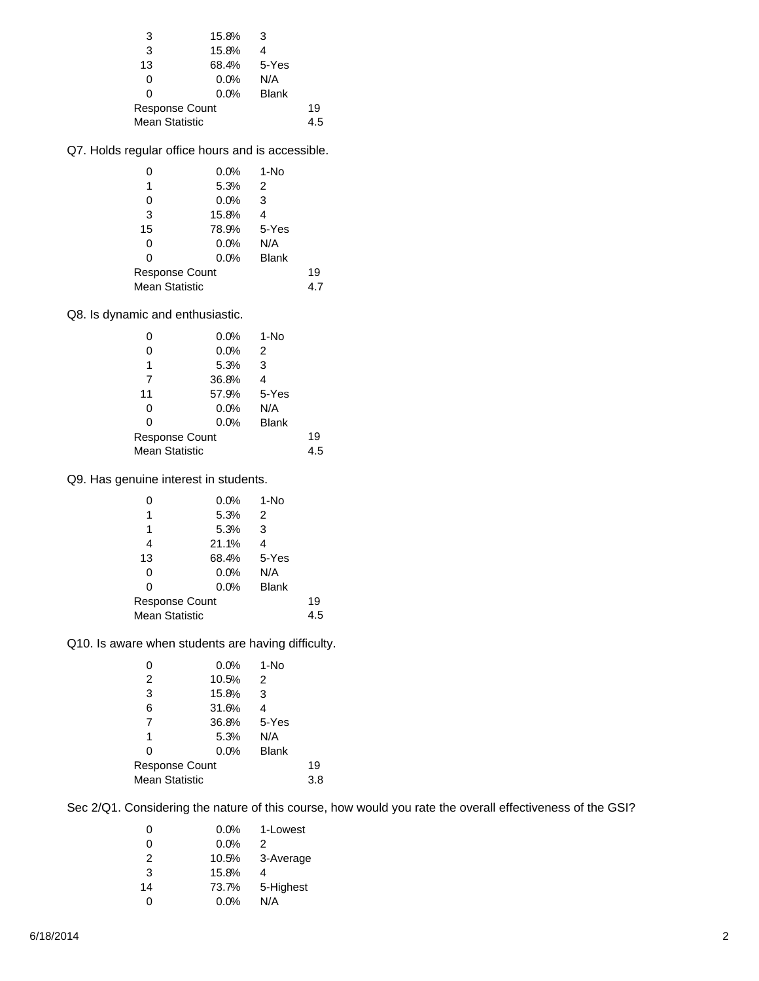| 3              | 15.8%       | -3           |     |  |  |
|----------------|-------------|--------------|-----|--|--|
| 3              | 15.8%       |              |     |  |  |
| 13             | 68.4% 5-Yes |              |     |  |  |
| 0              | 0.0%        | N/A          |     |  |  |
| O              | 0.0%        | <b>Blank</b> |     |  |  |
| Response Count |             |              | 19  |  |  |
| Mean Statistic |             |              | 4.5 |  |  |

Q7. Holds regular office hours and is accessible.

| 0                     | 0.0%  | 1-No         |     |  |
|-----------------------|-------|--------------|-----|--|
| 1                     | 5.3%  | 2            |     |  |
| 0                     | 0.0%  | 3            |     |  |
| 3                     | 15.8% | 4            |     |  |
| 15                    | 78.9% | 5-Yes        |     |  |
| 0                     | 0.0%  | N/A          |     |  |
| 0                     | 0.0%  | <b>Blank</b> |     |  |
| Response Count        |       |              | 19  |  |
| <b>Mean Statistic</b> |       |              | 4.7 |  |

Q8. Is dynamic and enthusiastic.

| O                     | 0.0%  | 1-No         |     |  |
|-----------------------|-------|--------------|-----|--|
| 0                     | 0.0%  | 2            |     |  |
| 1                     | 5.3%  | 3            |     |  |
| 7                     | 36.8% | 4            |     |  |
| 11                    | 57.9% | 5-Yes        |     |  |
| 0                     | 0.0%  | N/A          |     |  |
| 0                     | 0.0%  | <b>Blank</b> |     |  |
| <b>Response Count</b> |       |              | 19  |  |
| <b>Mean Statistic</b> |       |              | 4.5 |  |

Q9. Has genuine interest in students.

| O                     | 0.0%  | 1-No         |     |  |
|-----------------------|-------|--------------|-----|--|
| 1                     | 5.3%  | 2            |     |  |
| 1                     | 5.3%  | 3            |     |  |
| 4                     | 21.1% | 4            |     |  |
| 13                    | 68.4% | 5-Yes        |     |  |
| 0                     | 0.0%  | N/A          |     |  |
| 0                     | 0.0%  | <b>Blank</b> |     |  |
| <b>Response Count</b> |       |              | 19  |  |
| <b>Mean Statistic</b> |       |              | 4.5 |  |

Q10. Is aware when students are having difficulty.

| 0                     | 0.0%  | 1-No         |     |  |
|-----------------------|-------|--------------|-----|--|
| 2                     | 10.5% | 2            |     |  |
| 3                     | 15.8% | 3            |     |  |
| 6                     | 31.6% | 4            |     |  |
| 7                     | 36.8% | 5-Yes        |     |  |
| 1                     | 5.3%  | N/A          |     |  |
| 0                     | 0.0%  | <b>Blank</b> |     |  |
| <b>Response Count</b> |       |              | 19  |  |
| <b>Mean Statistic</b> |       |              | 3.8 |  |

Sec 2/Q1. Considering the nature of this course, how would you rate the overall effectiveness of the GSI?

| 0  |       | $0.0\%$ 1-Lowest |
|----|-------|------------------|
| 0  | 0.0%  | 2                |
| 2  |       | 10.5% 3-Average  |
| 3  | 15.8% | 4                |
| 14 |       | 73.7% 5-Highest  |
| 0  | 0.0%  | N/A              |
|    |       |                  |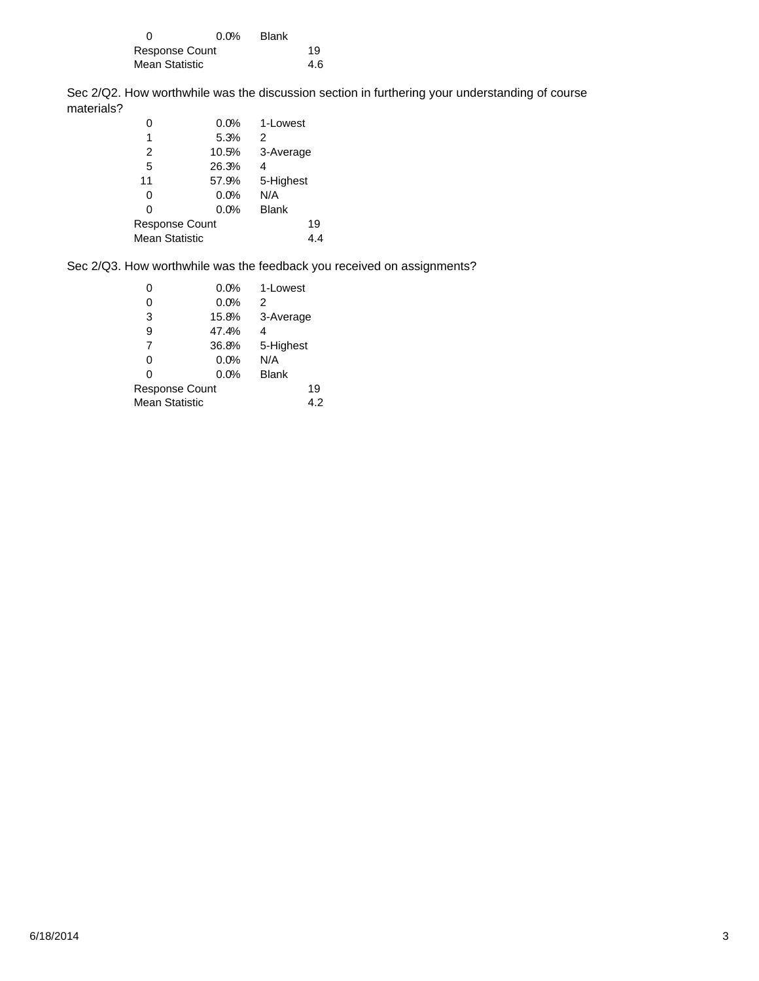|                | $0.0\%$ | Blank |     |
|----------------|---------|-------|-----|
| Response Count |         |       | 19  |
| Mean Statistic |         |       | 4.6 |

Sec 2/Q2. How worthwhile was the discussion section in furthering your understanding of course materials?

| 0              | 0.0%  | 1-Lowest     |  |
|----------------|-------|--------------|--|
| 1              | 5.3%  | 2            |  |
| 2              | 10.5% | 3-Average    |  |
| 5              | 26.3% | 4            |  |
| 11             | 57.9% | 5-Highest    |  |
| 0              | 0.0%  | N/A          |  |
| 0              | 0.0%  | <b>Blank</b> |  |
| Response Count |       | 19           |  |
| Mean Statistic |       | 4.4          |  |
|                |       |              |  |

Sec 2/Q3. How worthwhile was the feedback you received on assignments?

|                | 0.0%  | 1-Lowest     |  |
|----------------|-------|--------------|--|
| 0              | 0.0%  | 2            |  |
| 3              | 15.8% | 3-Average    |  |
| 9              | 47.4% | 4            |  |
| 7              | 36.8% | 5-Highest    |  |
| 0              | 0.0%  | N/A          |  |
| 0              | 0.0%  | <b>Blank</b> |  |
| Response Count |       | 19           |  |
| Mean Statistic |       | 4.2          |  |
|                |       |              |  |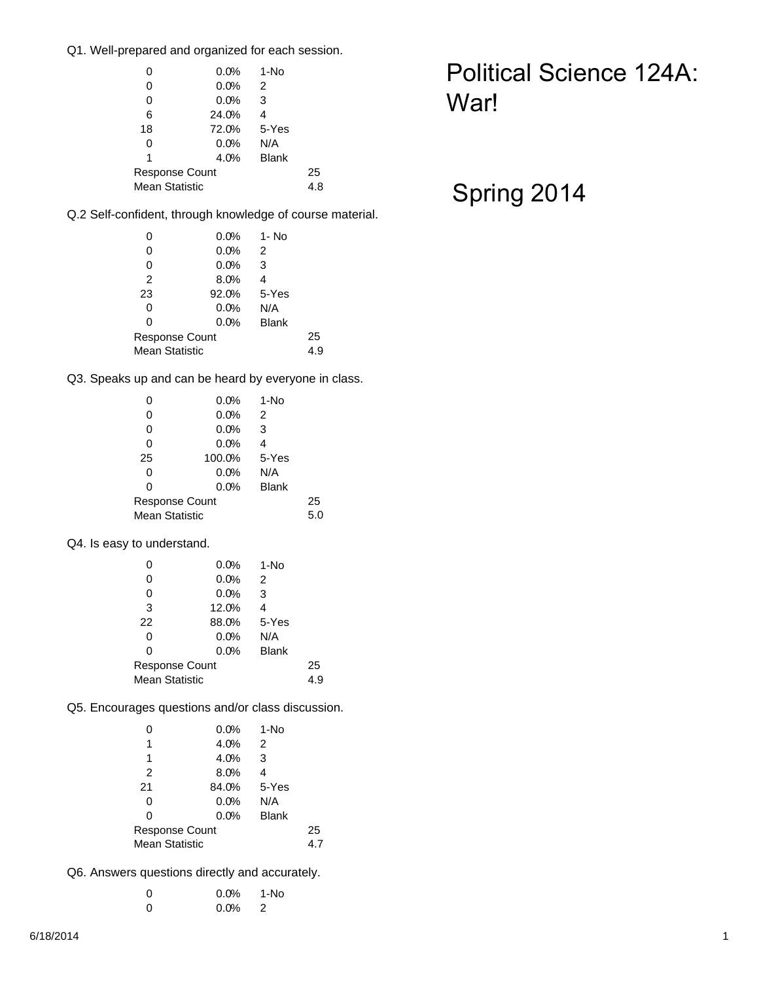Q1. Well-prepared and organized for each session.

| 0              | 0.0%  | 1-No         |     |  |  |
|----------------|-------|--------------|-----|--|--|
| 0              | 0.0%  | 2            |     |  |  |
| 0              | 0.0%  | 3            |     |  |  |
| 6              | 24.0% | 4            |     |  |  |
| 18             | 72.0% | 5-Yes        |     |  |  |
| 0              | 0.0%  | N/A          |     |  |  |
| 1              | 4.0%  | <b>Blank</b> |     |  |  |
| Response Count |       |              | 25  |  |  |
| Mean Statistic |       |              | 4.8 |  |  |
|                |       |              |     |  |  |

## Political Science 124A: War!

## Spring 2014

Q.2 Self-confident, through knowledge of course material.

| 0                     | 0.0%  | 1- No        |     |  |
|-----------------------|-------|--------------|-----|--|
| 0                     | 0.0%  | 2            |     |  |
| 0                     | 0.0%  | 3            |     |  |
| 2                     | 8.0%  | 4            |     |  |
| 23                    | 92.0% | 5-Yes        |     |  |
| 0                     | 0.0%  | N/A          |     |  |
| 0                     | 0.0%  | <b>Blank</b> |     |  |
| <b>Response Count</b> |       |              | 25  |  |
| <b>Mean Statistic</b> |       |              | 4.9 |  |

Q3. Speaks up and can be heard by everyone in class.

| 0                     | 0.0%   | 1-No         |     |  |
|-----------------------|--------|--------------|-----|--|
| 0                     | 0.0%   | 2            |     |  |
| 0                     | 0.0%   | 3            |     |  |
| 0                     | 0.0%   | 4            |     |  |
| 25                    | 100.0% | 5-Yes        |     |  |
| 0                     | 0.0%   | N/A          |     |  |
| 0                     | 0.0%   | <b>Blank</b> |     |  |
| <b>Response Count</b> |        | 25           |     |  |
| <b>Mean Statistic</b> |        |              | 5.0 |  |

Q4. Is easy to understand.

| 0                     | 0.0%  | 1-No         |     |  |  |
|-----------------------|-------|--------------|-----|--|--|
| 0                     | 0.0%  | 2            |     |  |  |
| 0                     | 0.0%  | 3            |     |  |  |
| 3                     | 12.0% | 4            |     |  |  |
| 22                    | 88.0% | 5-Yes        |     |  |  |
| 0                     | 0.0%  | N/A          |     |  |  |
| 0                     | 0.0%  | <b>Blank</b> |     |  |  |
| Response Count        |       |              | 25  |  |  |
| <b>Mean Statistic</b> |       |              | 4.9 |  |  |
|                       |       |              |     |  |  |

Q5. Encourages questions and/or class discussion.

| 0              | 0.0%  | 1-No         |     |  |  |
|----------------|-------|--------------|-----|--|--|
| 1              | 4.0%  | 2            |     |  |  |
| 1              | 4.0%  | 3            |     |  |  |
| 2              | 8.0%  | 4            |     |  |  |
| 21             | 84.0% | 5-Yes        |     |  |  |
| 0              | 0.0%  | N/A          |     |  |  |
| 0              | 0.0%  | <b>Blank</b> |     |  |  |
| Response Count |       |              | 25  |  |  |
| Mean Statistic |       |              | 4.7 |  |  |
|                |       |              |     |  |  |

Q6. Answers questions directly and accurately.

| - 0 | $0.0\%$ 1-No |  |
|-----|--------------|--|
| - 0 | $0.0\%$ 2    |  |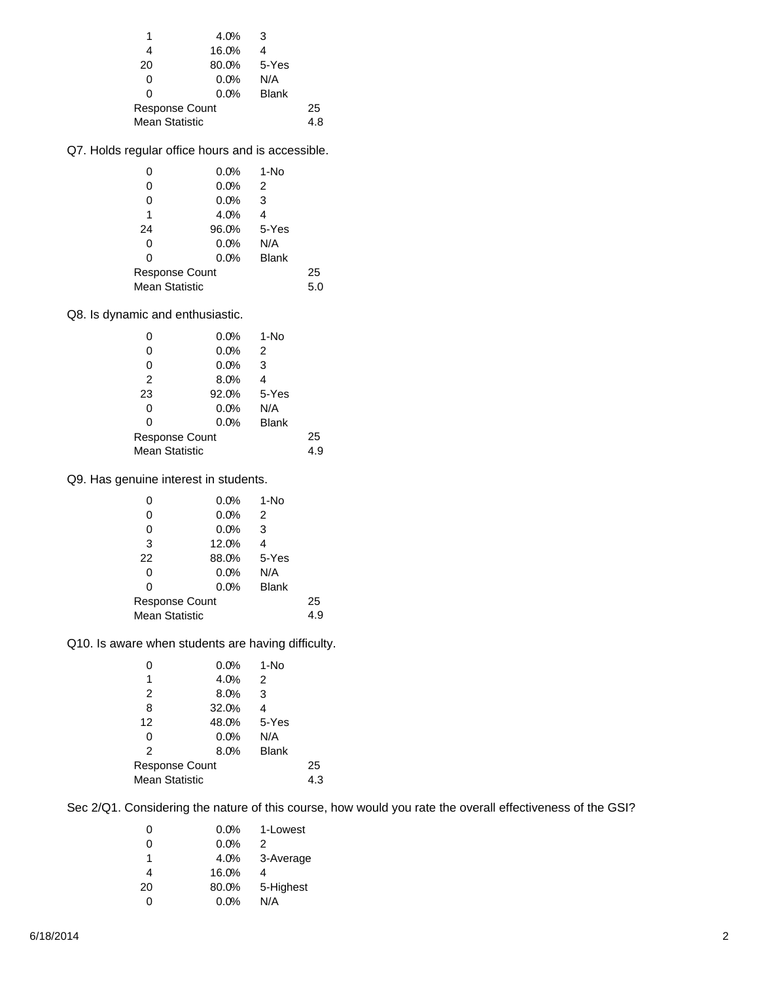| 4.0%           | -3           |       |  |  |
|----------------|--------------|-------|--|--|
| 16.0%          | 4            |       |  |  |
| 80.0%          |              |       |  |  |
| 0.0%           | N/A          |       |  |  |
| 0.0%           | <b>Blank</b> |       |  |  |
| Response Count |              | 25    |  |  |
| Mean Statistic |              | 4.8   |  |  |
|                |              | 5-Yes |  |  |

Q7. Holds regular office hours and is accessible.

| 0                     | 0.0%  | 1-No         |     |  |
|-----------------------|-------|--------------|-----|--|
| 0                     | 0.0%  | 2            |     |  |
| 0                     | 0.0%  | 3            |     |  |
| 1                     | 4.0%  | 4            |     |  |
| 24                    | 96.0% | 5-Yes        |     |  |
| 0                     | 0.0%  | N/A          |     |  |
| 0                     | 0.0%  | <b>Blank</b> |     |  |
| Response Count        |       |              | 25  |  |
| <b>Mean Statistic</b> |       |              | 5.0 |  |

Q8. Is dynamic and enthusiastic.

| O                     | 0.0%  | $1-NO$       |     |  |
|-----------------------|-------|--------------|-----|--|
| 0                     | 0.0%  | 2            |     |  |
| 0                     | 0.0%  | 3            |     |  |
| 2                     | 8.0%  | 4            |     |  |
| 23                    | 92.0% | 5-Yes        |     |  |
| 0                     | 0.0%  | N/A          |     |  |
| 0                     | 0.0%  | <b>Blank</b> |     |  |
| <b>Response Count</b> |       |              | 25  |  |
| <b>Mean Statistic</b> |       |              | 4.9 |  |

Q9. Has genuine interest in students.

| O                     | 0.0%                  | 1-No         |     |  |
|-----------------------|-----------------------|--------------|-----|--|
| 0                     | 0.0%                  | 2            |     |  |
| 0                     | 0.0%                  | 3            |     |  |
| 3                     | 12.0%                 | 4            |     |  |
| 22                    | 88.0%                 | 5-Yes        |     |  |
| 0                     | 0.0%                  | N/A          |     |  |
| 0                     | 0.0%                  | <b>Blank</b> |     |  |
|                       | <b>Response Count</b> |              | 25  |  |
| <b>Mean Statistic</b> |                       |              | 4.9 |  |

Q10. Is aware when students are having difficulty.

| 0                     | 0.0%  | 1-No         |     |  |
|-----------------------|-------|--------------|-----|--|
| 1                     | 4.0%  | 2            |     |  |
| 2                     | 8.0%  | 3            |     |  |
| 8                     | 32.0% | 4            |     |  |
| 12                    | 48.0% | 5-Yes        |     |  |
| 0                     | 0.0%  | N/A          |     |  |
| 2                     | 8.0%  | <b>Blank</b> |     |  |
| <b>Response Count</b> |       |              | 25  |  |
| <b>Mean Statistic</b> |       |              | 4.3 |  |

Sec 2/Q1. Considering the nature of this course, how would you rate the overall effectiveness of the GSI?

|       | 0.0% 1-Lowest   |
|-------|-----------------|
| 0.0%  | 2               |
|       | 4.0% 3-Average  |
| 16.0% | 4               |
|       | 80.0% 5-Highest |
| 0.0%  | N/A             |
|       |                 |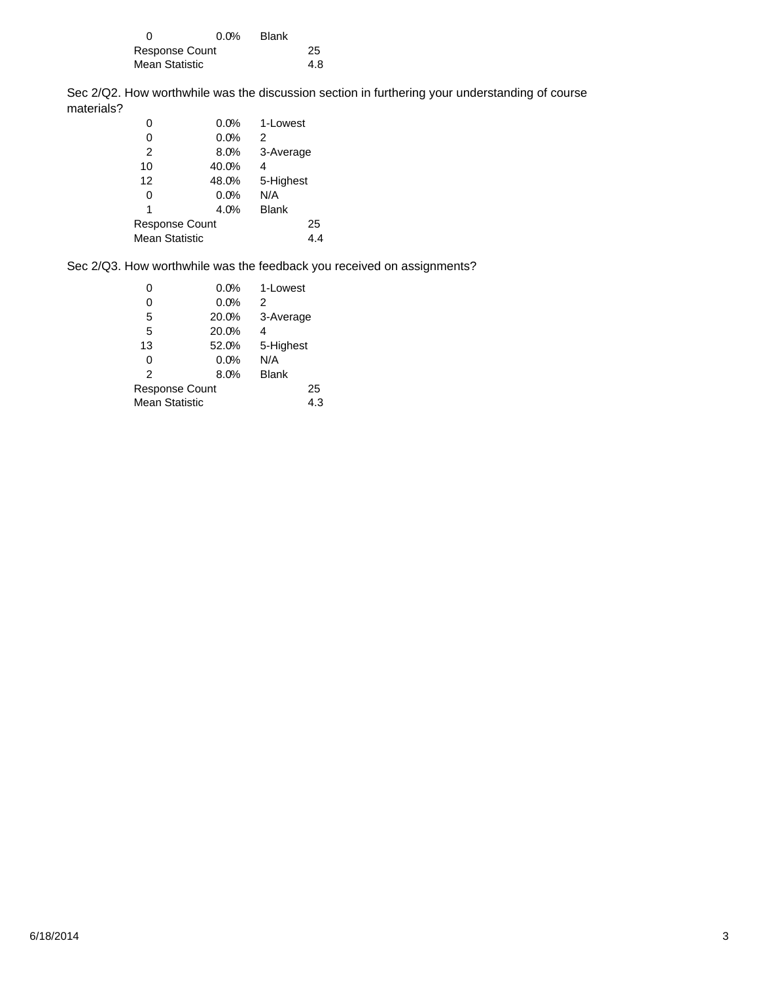|                | $0.0\%$ | Blank |     |
|----------------|---------|-------|-----|
| Response Count |         |       | 25  |
| Mean Statistic |         |       | 4.8 |

Sec 2/Q2. How worthwhile was the discussion section in furthering your understanding of course materials?

| 0              | 0.0%  | 1-Lowest     |  |
|----------------|-------|--------------|--|
| 0              | 0.0%  | 2            |  |
| 2              | 8.0%  | 3-Average    |  |
| 10             | 40.0% | 4            |  |
| 12             | 48.0% | 5-Highest    |  |
| 0              | 0.0%  | N/A          |  |
| 1              | 4.0%  | <b>Blank</b> |  |
| Response Count |       | 25           |  |
| Mean Statistic |       | 4.4          |  |
|                |       |              |  |

Sec 2/Q3. How worthwhile was the feedback you received on assignments?

|                | 0.0%  | 1-Lowest     |  |
|----------------|-------|--------------|--|
| 0              | 0.0%  | 2            |  |
| 5              | 20.0% | 3-Average    |  |
| 5              | 20.0% | 4            |  |
| 13             | 52.0% | 5-Highest    |  |
| 0              | 0.0%  | N/A          |  |
| 2              | 8.0%  | <b>Blank</b> |  |
| Response Count |       | 25           |  |
| Mean Statistic |       | 4.3          |  |
|                |       |              |  |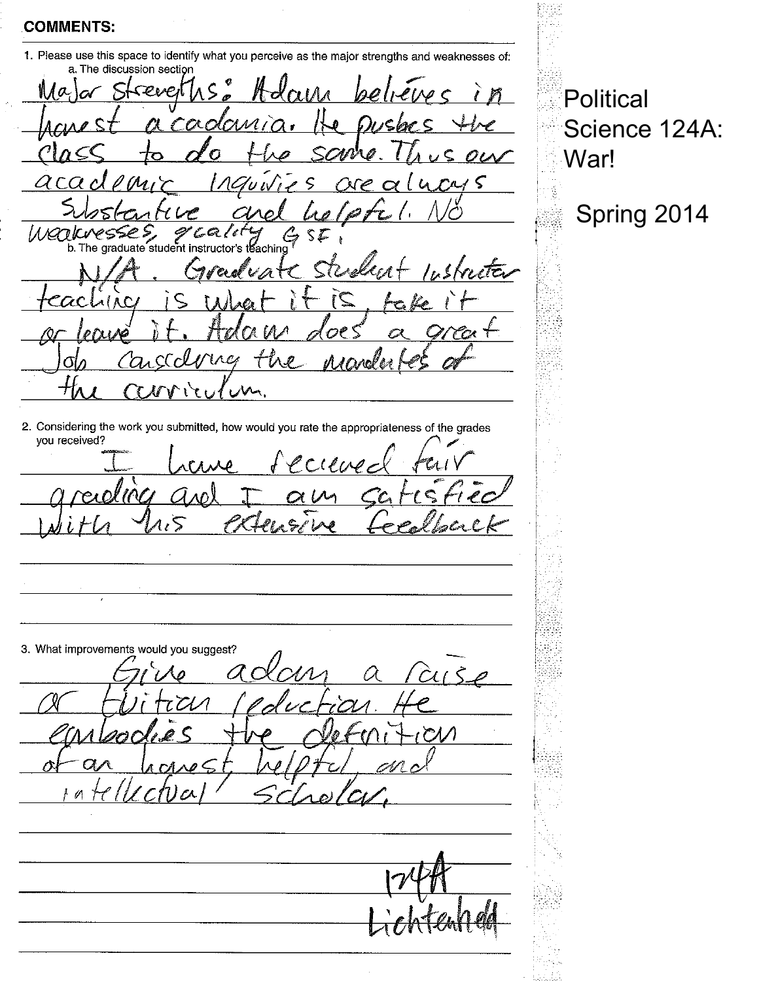1. Please use this space to identify what you perceive as the major strengths and weaknesses of:

Political

War!

Science 124A:

Spring 2014

a. The discussion section Hda sevei xdami  $\alpha$  $\varsigma$  $ra15$  $\chi \varphi$  $\mathcal{U}$  $\forall w$ esses  $\mathscr{S}$  callet  $\epsilon$ <br>b. The graduate student instructor's the Weak \$ ≸achin e tr  $A[AC]$  $\epsilon$ ac  $\mathbf{z}$ ra ∩  $\pm$ んんいん  $100-$ T

2. Considering the work you submitted, how would you rate the appropriateness of the grades you received?

 $\ell$  $\varsigma$ 

C  $\mathscr{O}$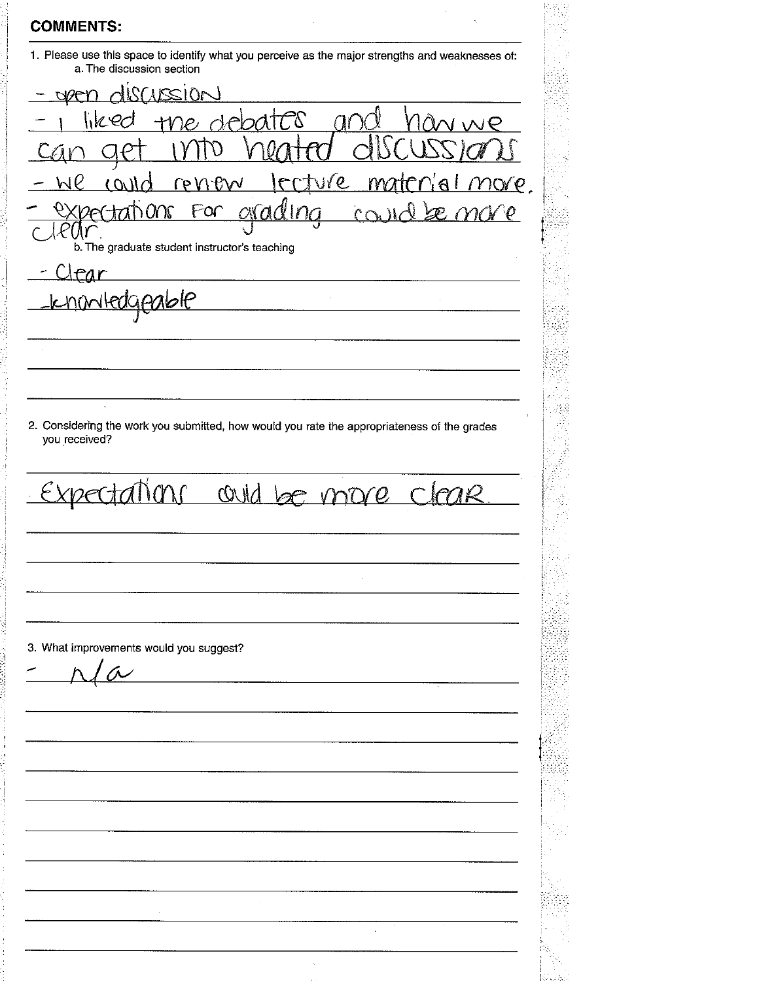**COMMENTS:** 1. Please use this space to identify what you perceive as the major strengths and weaknesses of: a. The discussion section usen discussion debates hkec Œ  $\mathcal{D}$ WP  $OMd$ renew  $\frac{1}{2}$  (  $\mathcal{Q}_{\perp}$  $MOP$ ്ഠ $\cap$ M F  $\overline{\Lambda}$  $\varphi$  $\bigcap$  $\epsilon$ b. The graduate student instructor's teaching Clear <u>knowledgeable</u> 2. Considering the work you submitted, how would you rate the appropriateness of the grades you received? Expectations could be more cleare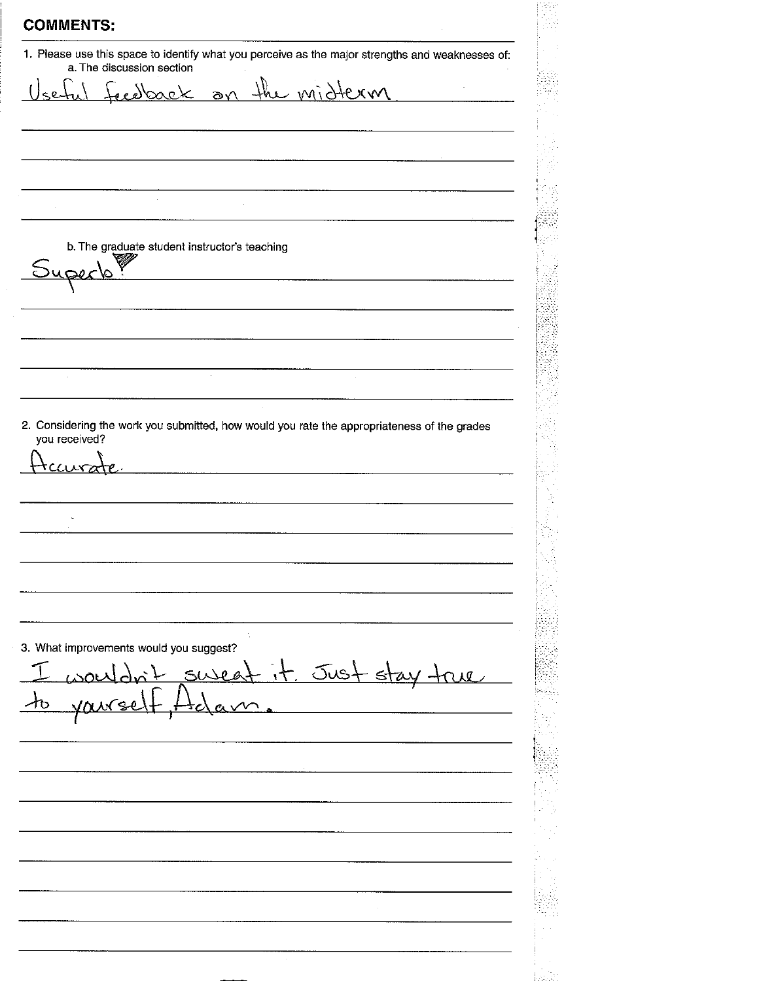**COMMENTS:** 1. Please use this space to identify what you perceive as the major strengths and weaknesses of: a. The discussion section the <u>midtern</u> Feedback  $\overline{a}$  $\delta$ b. The graduate student instructor's teaching Super ∨ 2. Considering the work you submitted, how would you rate the appropriateness of the grades you received? tca 3. What improvements would you suggest? it. Just stay true  $Solvea^1$ 10 <u>yvez</u>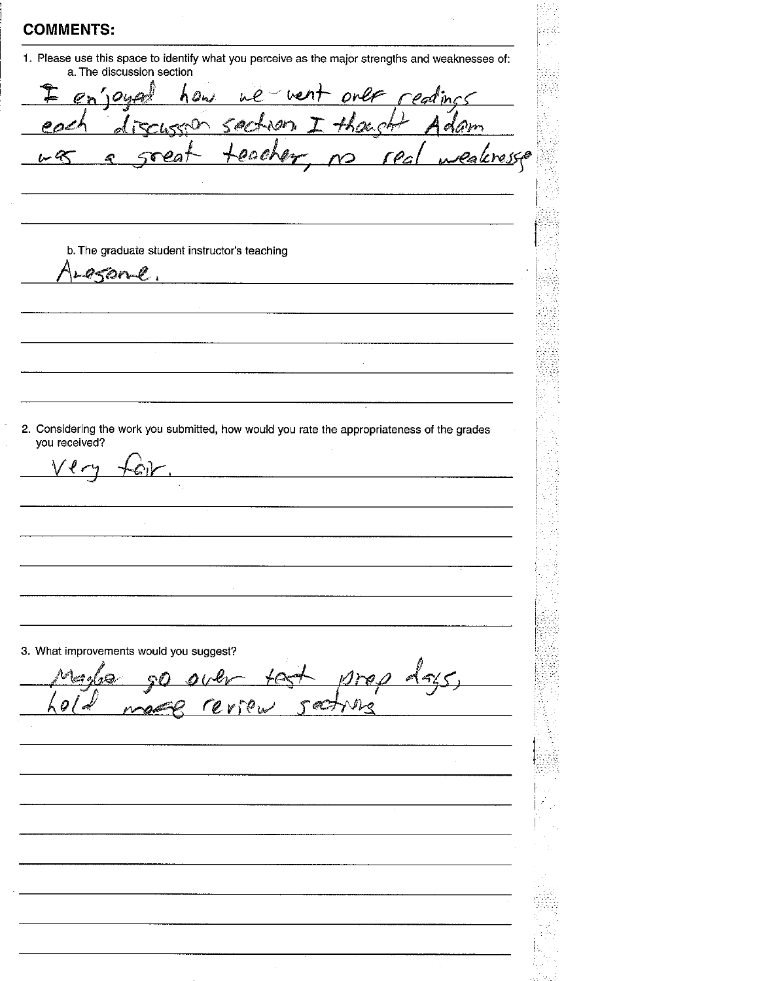I

 $\mathcal{P}_{\mathcal{L}}$ 

 $\nu \propto$ 

 $\vee$ lr

1. Please use this space to identify what you perceive as the major strengths and weaknesses of: a. The discussion section

 $550$ 

Ą

b. The graduate student instructor's teaching

 $h$  Ons

esone.

 $en'10u4$ 

£.

2. Considering the work you submitted, how would you rate the appropriateness of the grades you received?

3. What improvements would you suggest?

سيردينها

 $\mathscr{P}_\mathscr{L}$  $\mathcal O$ r e  $\mathbb{F}^{\wedge\mathcal{O}}$  by  $\mathbb{F}$ A.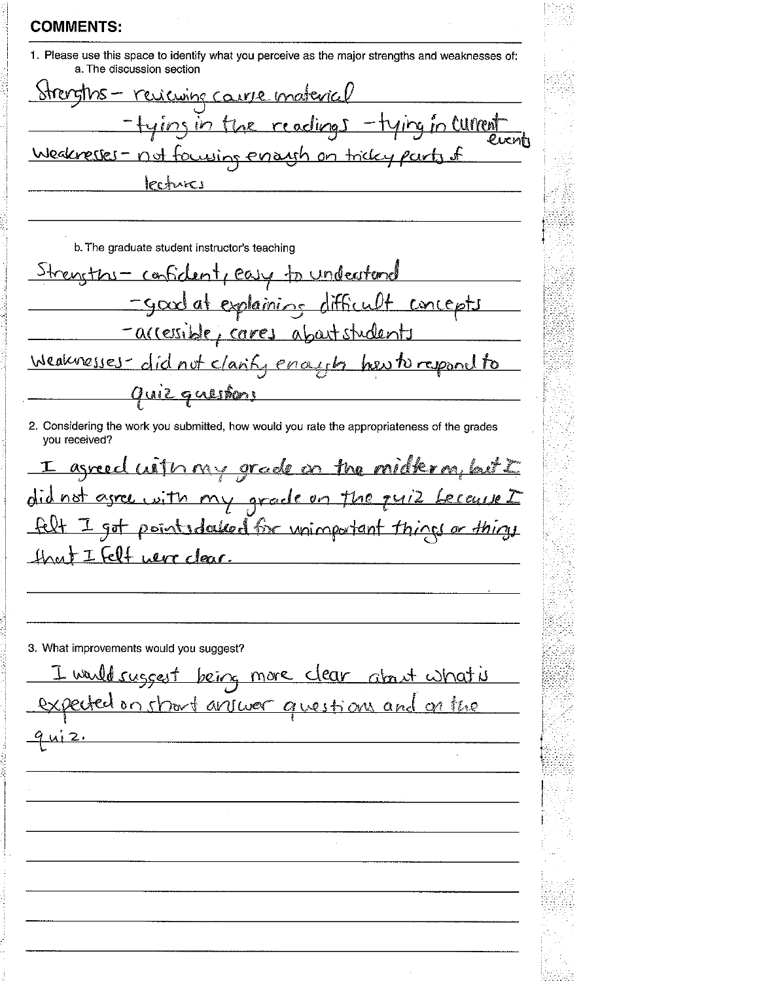| <b>COMMENTS:</b>                                                                                                              |  |
|-------------------------------------------------------------------------------------------------------------------------------|--|
| 1. Please use this space to identify what you perceive as the major strengths and weaknesses of:<br>a. The discussion section |  |
| <u> Strengths - reviewing course material</u>                                                                                 |  |
| -tying in the readings -tying in current                                                                                      |  |
| Weaknesses - not focusing errough on tricky parts of                                                                          |  |
| lectures                                                                                                                      |  |
|                                                                                                                               |  |
| b. The graduate student instructor's teaching                                                                                 |  |
| Strengths- confident, easy to understand                                                                                      |  |
| -good at explaining difficult concepts                                                                                        |  |
| <u>-arressible, cares about students</u>                                                                                      |  |
| Weaknesses-did not clarify enough her to respond to                                                                           |  |
| <u>Quiz questions</u>                                                                                                         |  |
| 2. Considering the work you submitted, how would you rate the appropriateness of the grades<br>you received?                  |  |
| I agreed with my grade on the midter m, but I                                                                                 |  |
| did not agree with my grade on the quiz because I                                                                             |  |
| felt I got pointed also commentant things or things                                                                           |  |
| <u>Hast I felt were clear.</u>                                                                                                |  |
|                                                                                                                               |  |

| I would suggest being more clear about what is<br>expected on short answer questions and on the |
|-------------------------------------------------------------------------------------------------|
| 9412.                                                                                           |
|                                                                                                 |
|                                                                                                 |
|                                                                                                 |
|                                                                                                 |
|                                                                                                 |
|                                                                                                 |
|                                                                                                 |
|                                                                                                 |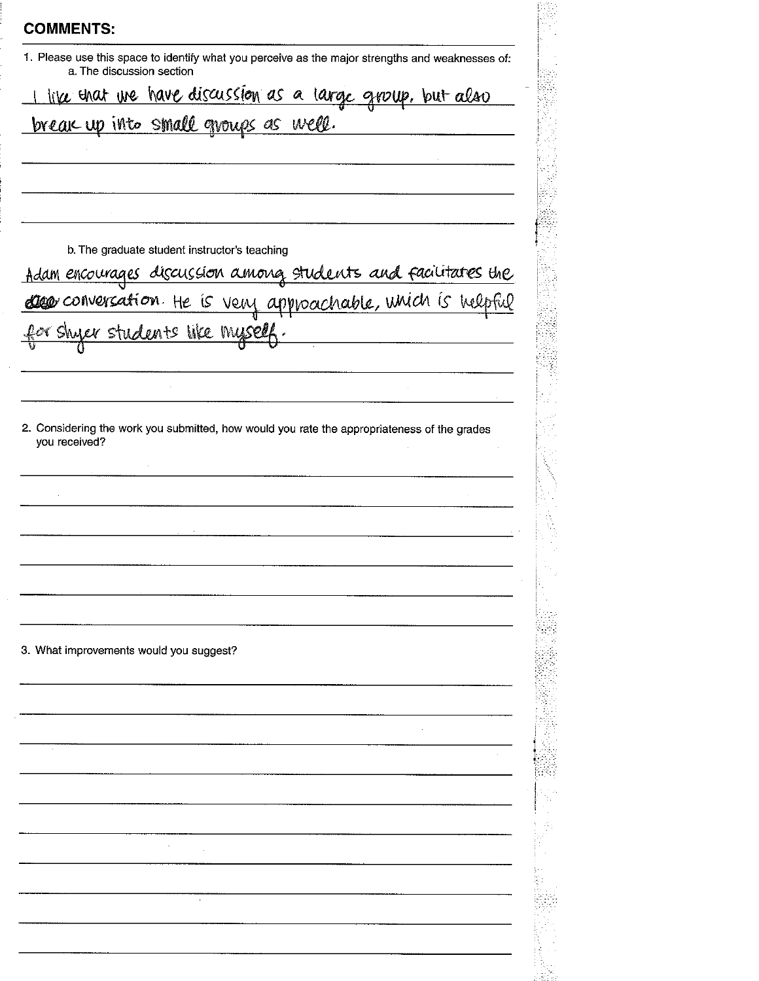| <b>COMMENTS:</b> |  |  |  |  |  |  |  |
|------------------|--|--|--|--|--|--|--|
|------------------|--|--|--|--|--|--|--|

1. Please use this space to identify what you perceive as the major strengths and weaknesses of: a. The discussion section

like that we have discussion as a large group, but also

break up into small groups as well.

b. The graduate student instructor's teaching

Adam encourages discussion among students and facilitates the deep conversation. He is very approachable, unich is helpful

or shyer students like mysel

2. Considering the work you submitted, how would you rate the appropriateness of the grades you received?

3. What improvements would you suggest?

 $\ddot{\phantom{a}}$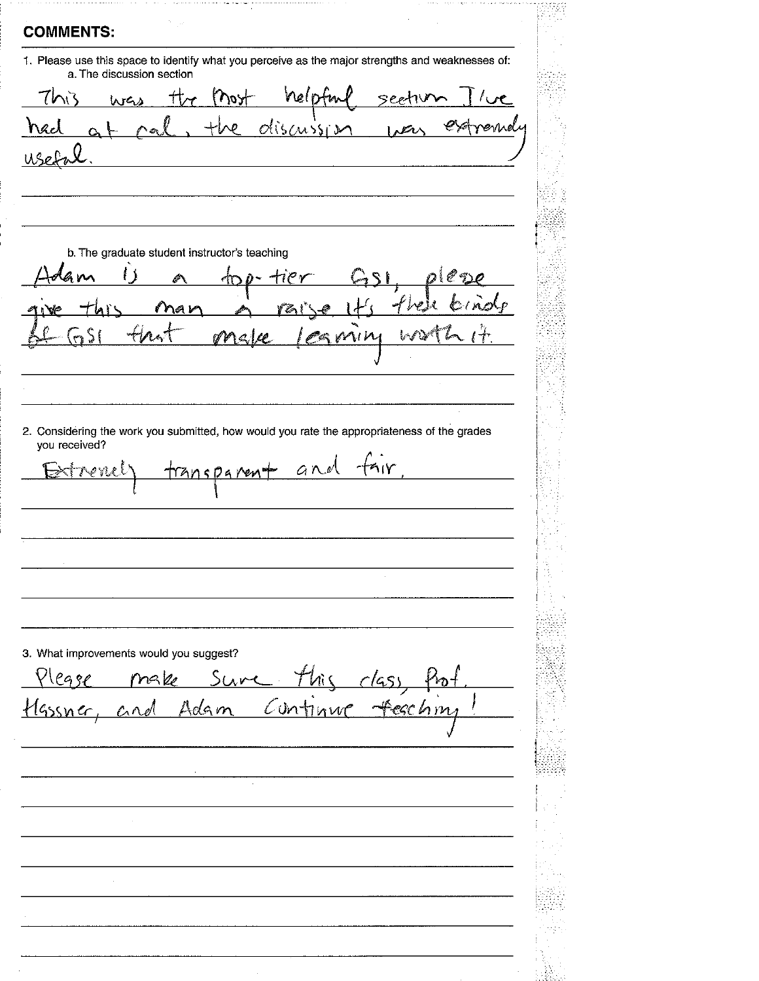**COMMENTS:** 1. Please use this space to identify what you perceive as the major strengths and weaknesses of: a. The discussion section  $M_{\odot}$  $t_{\mathcal{U}}$ nelotut section  $7h$  $\sim$ was  $O(\sqrt{2})$  $\sqrt{2r}$  $(1151)$ b. The graduate student instructor's teaching  $CDQ$ r na r ーヤハ H 2. Considering the work you submitted, how would you rate the appropriateness of the grades you received? transparent and fair أعصرهم 3. What improvements would you suggest?  $P_{\text{eq}}$  $Sure$ make Hassner, <u>Adam</u> Continu  $c_{\Lambda}$ А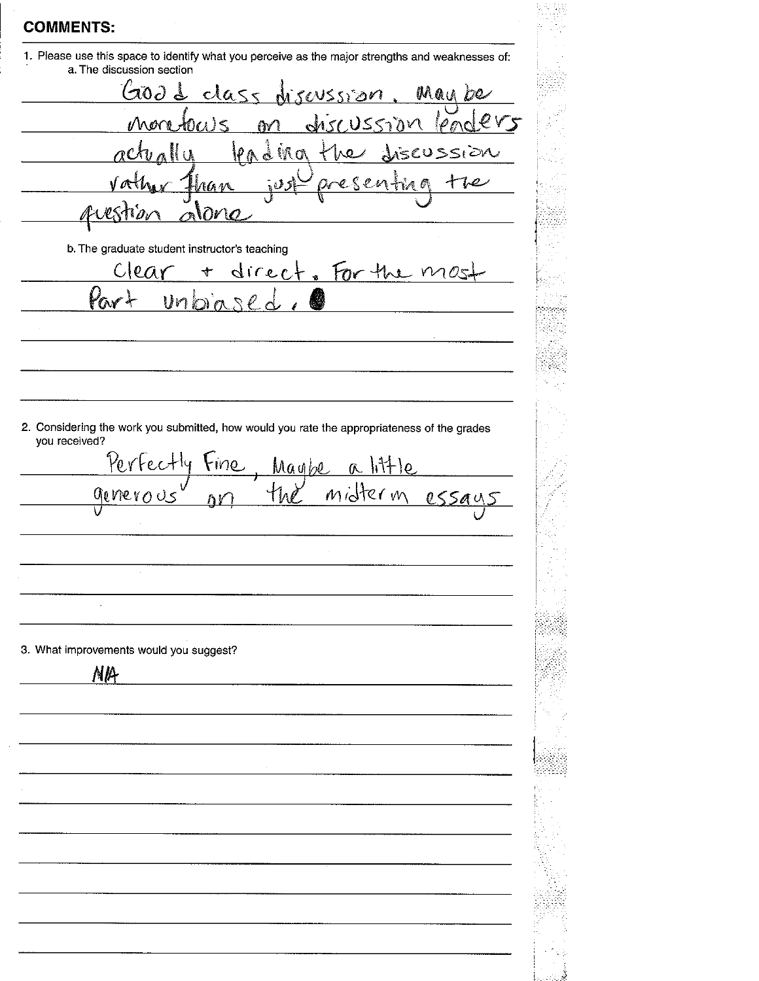1. Please use this space to identify what you perceive as the major strengths and weaknesses of: a. The discussion section Good dass noussion May be  $m/s$  $U550M$  $M$  $\mathcal{N}$  $\Lambda$ IPA  $\mathcal{L}$  in  $\alpha$  $<\epsilon$ USSI  $\hat{\mathcal{Q}}$ ₽ aa w ĥ мдио b. The graduate student instructor's teaching direct. For the mo C I  $\ell \Omega$  $\ddag$ Pa  $unba$ 2. Considering the work you submitted, how would you rate the appropriateness of the grades you received? Perfectly Fine  $R$   $\frac{1}{1 + 10}$ Maybe midterm genero  $055a$ hV  $\overline{a}$ 3. What improvements would you suggest? **NIA**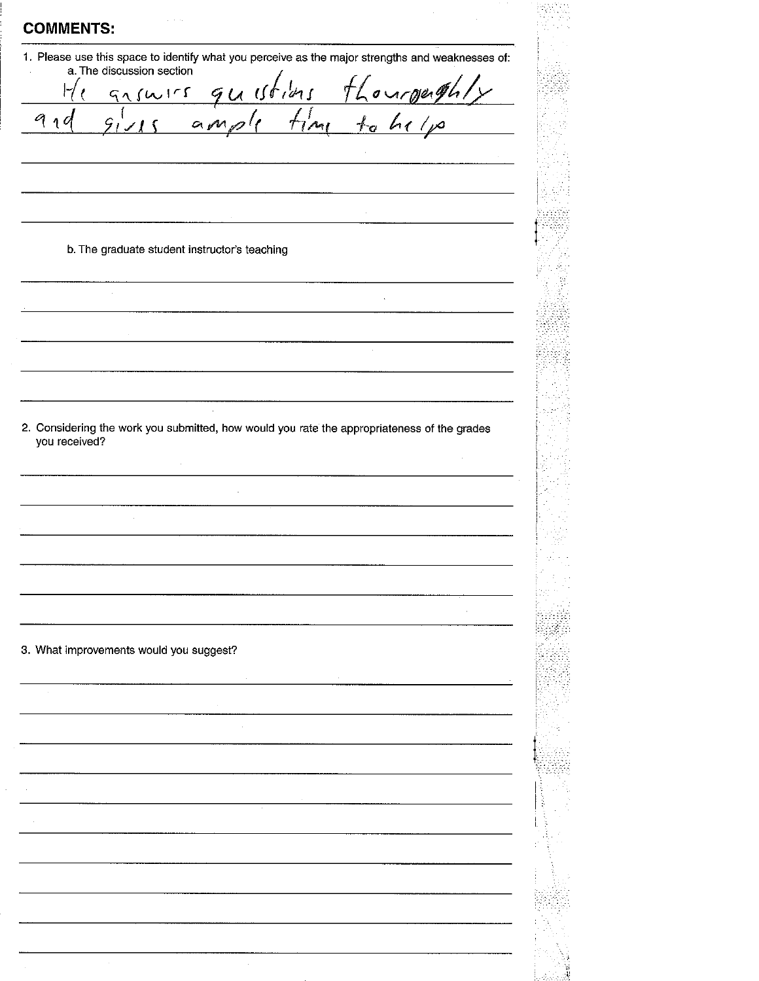1. Please use this space to identify what you perceive as the major strengths and weaknesses of: a. The discussion section  $u$ H  $9150$  $\epsilon$ G  $910$  $O_{\ell}$  $\mathcal{L}_{1}$ b. The graduate student instructor's teaching 2. Considering the work you submitted, how would you rate the appropriateness of the grades you received?  $\bar{\gamma}$ 3. What improvements would you suggest?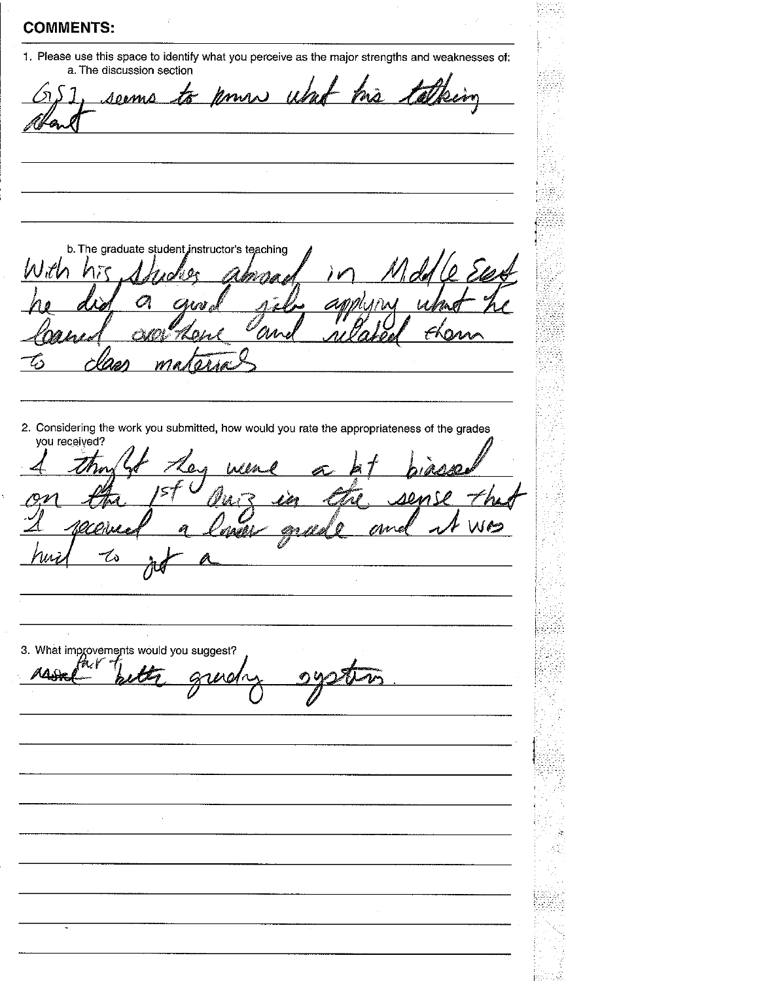1. Please use this space to identify what you perceive as the major strengths and weaknesses of:

a. The discussion section Kmrs uhr <u>serms</u> た b. The graduate student instructor's teaching 'M 2. Considering the work you submitted, how would you rate the appropriateness of the grades you received? Len Webs  $10<sub>1</sub>$ Ил.  $\omega$ 3. What improvements would you suggest? AAS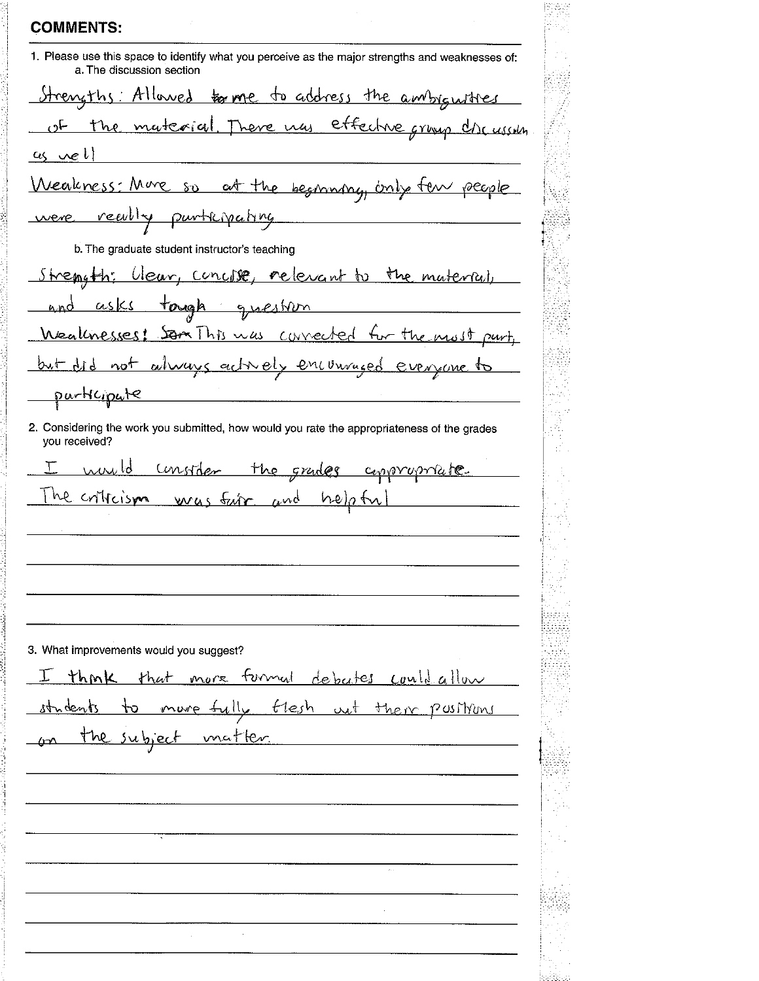1. Please use this space to identify what you perceive as the major strengths and weaknesses of: a. The discussion section Strengths: Allowed for me to address the ambiguities of the material. There was effective group che ussin  $\alpha_5$  we l Weakness: More so at the beginning, only few people were really purthyating b. The graduate student instructor's teaching Strength: Clear, concise, relevant to the material, and asks tough question Weaknesses! Som This was convected for the most part. but did not always actively encouraged evenyone to purticipate 2. Considering the work you submitted, how would you rate the appropriateness of the grades you received? consider the grades appropriate. markt he criticism was fair and helpful 3. What improvements would you suggest? think that more furnal debates could allow I more fully flesh out their positions  $\mathcal{P}$ students the subject matter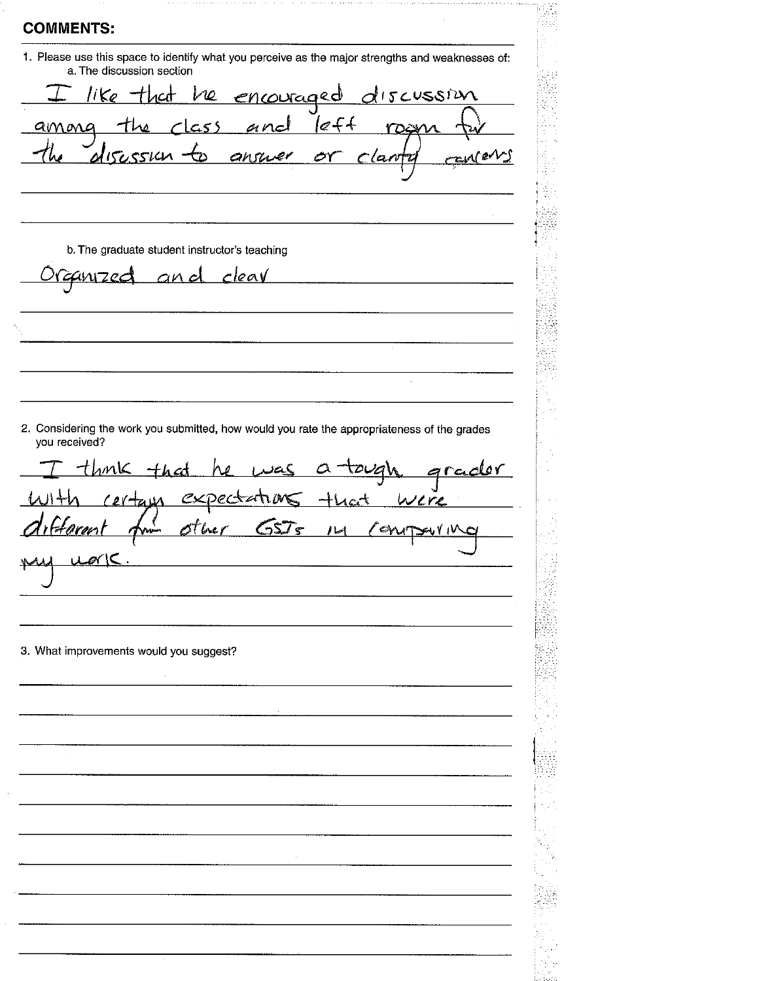| 1. Please use this space to identify what you perceive as the major strengths and weaknesses of:<br>a. The discussion section |      |
|-------------------------------------------------------------------------------------------------------------------------------|------|
|                                                                                                                               |      |
| I like that he encouraged discussion<br>among the class and left room for<br>the disession to answer or clarify can           |      |
|                                                                                                                               |      |
|                                                                                                                               |      |
|                                                                                                                               |      |
|                                                                                                                               |      |
| b. The graduate student instructor's teaching                                                                                 |      |
| <u>uzed and clear</u>                                                                                                         |      |
|                                                                                                                               |      |
|                                                                                                                               |      |
|                                                                                                                               |      |
|                                                                                                                               |      |
|                                                                                                                               |      |
| <u>tough grader</u>                                                                                                           |      |
| you received?<br>ther GSJs IM Conv                                                                                            | were |
| I think that he was a tough<br>with certain expectations that                                                                 |      |
|                                                                                                                               |      |
| 3. What improvements would you suggest?                                                                                       |      |
|                                                                                                                               |      |
|                                                                                                                               |      |
|                                                                                                                               |      |
|                                                                                                                               |      |
|                                                                                                                               |      |
|                                                                                                                               |      |
|                                                                                                                               |      |
|                                                                                                                               |      |
|                                                                                                                               |      |
|                                                                                                                               |      |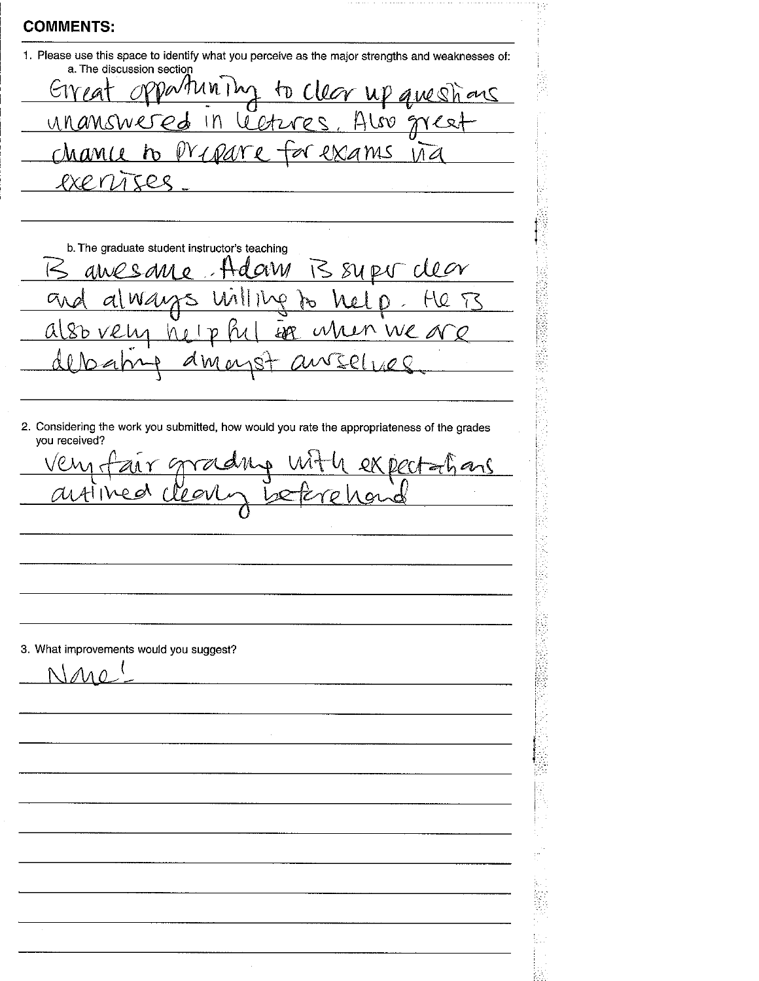1. Please use this space to identify what you perceive as the major strengths and weaknesses of: a. The discussion section

to clear up questions  $a$ Mnin  $G$ V<sub>1</sub> $\alpha$ Also gree letures unanswe  $1n$  $\mathcal{C}$ d chance to  $W\!V$ PXAMS N  $11d$  $RX$  $R$ TES  $\overline{A}$ 

b. The graduate student instructor's teaching B SURV CLEON  $\mathscr{O}$  ९  $QVM$ ain  $\mathscr{O}$ He T3  $\sigma$  $\overline{\mathcal{L}}$ W તું શુ When We a EAR M  $\mathcal{D}$  $\theta$  $\mathcal{O}\,$  $\overline{A}$ 

2. Considering the work you submitted, how would you rate the appropriateness of the grades you received?

 $\bigvee\mathcal{C}$  ) radus  $QKQC$  $\Lambda$ C.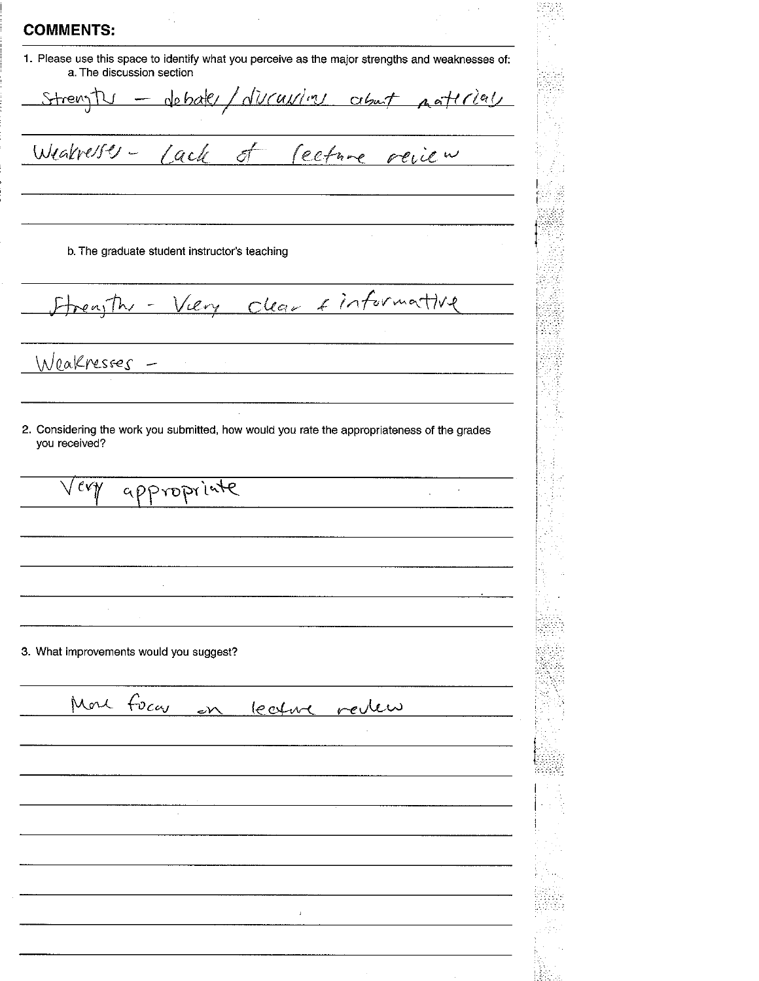1. Please use this space to identify what you perceive as the major strengths and weaknesses of: a. The discussion section

- deball/diversions about paterials StrengTU

Cecture review Weakresses - Lack ත

b. The graduate student instructor's teaching

Viery clear cinformative

Woakresses

2. Considering the work you submitted, how would you rate the appropriateness of the grades you received?

 $\mathcal{L}$ 

appropriate  $\ell$ v $\gamma$ 

3. What improvements would you suggest?

More focar lecture review  $\overline{\mathcal{M}}$ 

 $\overline{1}$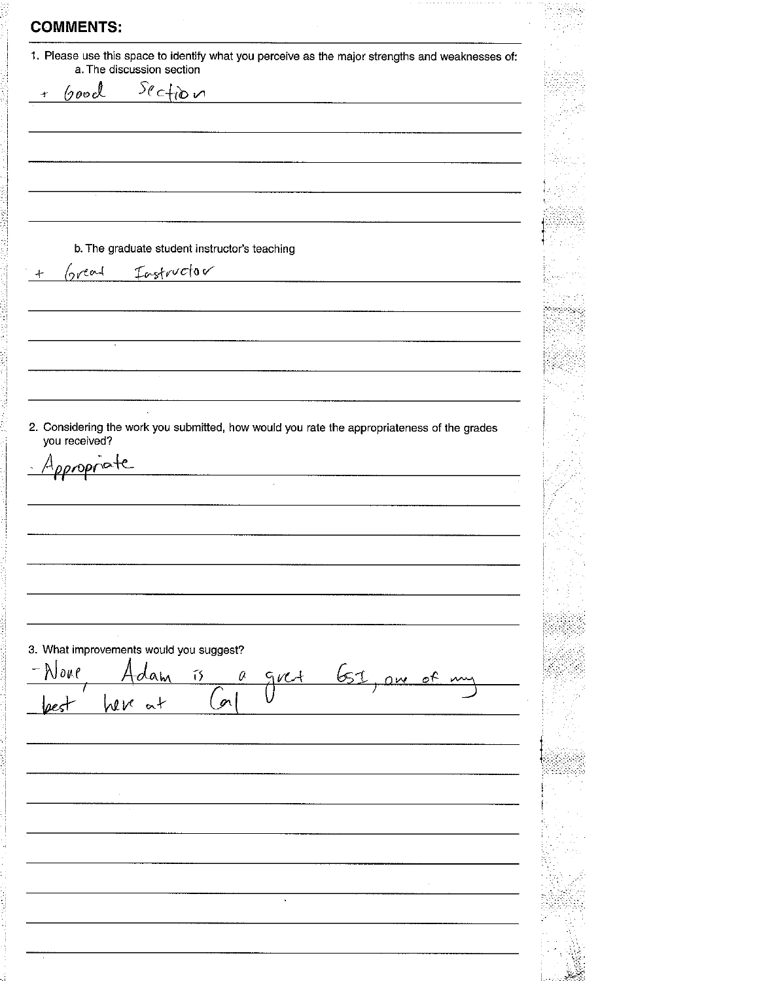**COMMENTS:** 1. Please use this space to identify what you perceive as the major strengths and weaknesses of: a. The discussion section  $3$ ection  $\sqrt{200d}$  $\overline{a}$ b. The graduate student instructor's teaching Great Instructor 2. Considering the work you submitted, how would you rate the appropriateness of the grades you received? Appropriate 3. What improvements would you suggest? None  $651,$  am of  $\tilde{1}$ a  $5/1$  $\Delta$ (m heve at  $\nu$ <  $\ddot{\phantom{a}}$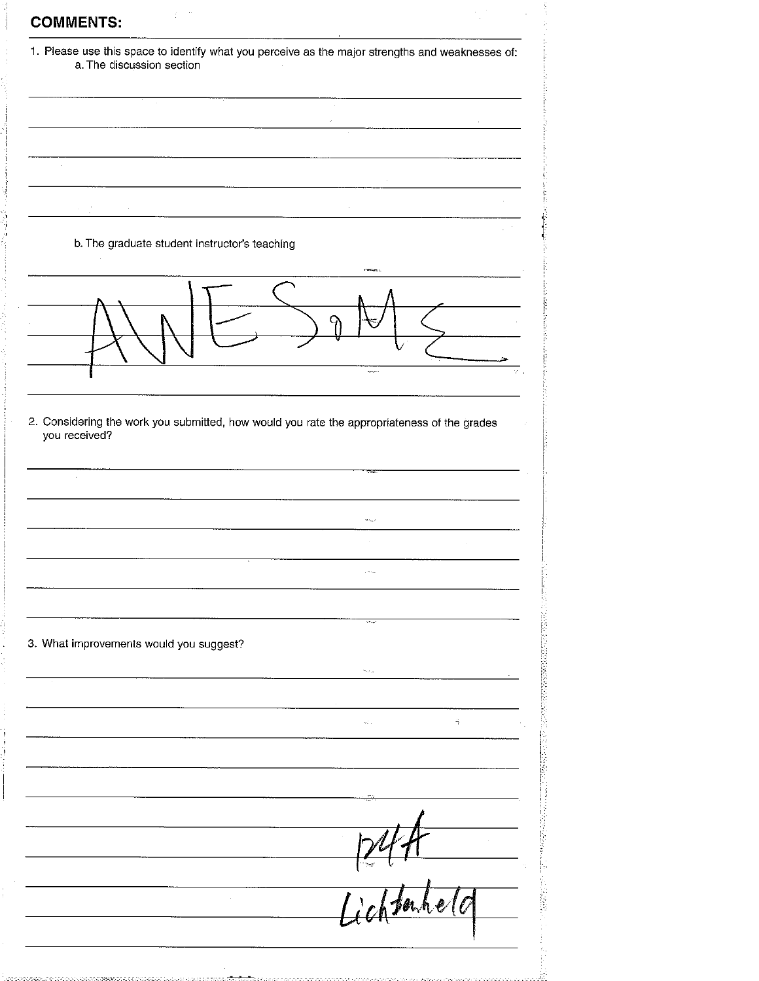|                                                                                                              | 1. Please use this space to identify what you perceive as the major strengths and weaknesses of:                                                                                                                                                                                                                                                                                                                                                      |
|--------------------------------------------------------------------------------------------------------------|-------------------------------------------------------------------------------------------------------------------------------------------------------------------------------------------------------------------------------------------------------------------------------------------------------------------------------------------------------------------------------------------------------------------------------------------------------|
| a. The discussion section                                                                                    |                                                                                                                                                                                                                                                                                                                                                                                                                                                       |
|                                                                                                              |                                                                                                                                                                                                                                                                                                                                                                                                                                                       |
|                                                                                                              |                                                                                                                                                                                                                                                                                                                                                                                                                                                       |
|                                                                                                              |                                                                                                                                                                                                                                                                                                                                                                                                                                                       |
|                                                                                                              | $\begin{tabular}{ccccc} \multicolumn{2}{c }{\textbf{1} & \multicolumn{2}{c }{\textbf{2} & \multicolumn{2}{c }{\textbf{3} & \multicolumn{2}{c }{\textbf{4} & \multicolumn{2}{c }{\textbf{5} & \multicolumn{2}{c }{\textbf{6} & \multicolumn{2}{c }{\textbf{6} & \multicolumn{2}{c }{\textbf{6} & \multicolumn{2}{c }{\textbf{6} & \multicolumn{2}{c }{\textbf{6} & \multicolumn{2}{c }{\textbf{6} & \multicolumn{2}{c }{\textbf{6} & \multicolumn{2}{$ |
|                                                                                                              |                                                                                                                                                                                                                                                                                                                                                                                                                                                       |
|                                                                                                              |                                                                                                                                                                                                                                                                                                                                                                                                                                                       |
|                                                                                                              |                                                                                                                                                                                                                                                                                                                                                                                                                                                       |
| b. The graduate student instructor's teaching                                                                |                                                                                                                                                                                                                                                                                                                                                                                                                                                       |
|                                                                                                              |                                                                                                                                                                                                                                                                                                                                                                                                                                                       |
|                                                                                                              |                                                                                                                                                                                                                                                                                                                                                                                                                                                       |
|                                                                                                              |                                                                                                                                                                                                                                                                                                                                                                                                                                                       |
|                                                                                                              |                                                                                                                                                                                                                                                                                                                                                                                                                                                       |
|                                                                                                              |                                                                                                                                                                                                                                                                                                                                                                                                                                                       |
|                                                                                                              |                                                                                                                                                                                                                                                                                                                                                                                                                                                       |
|                                                                                                              |                                                                                                                                                                                                                                                                                                                                                                                                                                                       |
| 2. Considering the work you submitted, how would you rate the appropriateness of the grades<br>you received? |                                                                                                                                                                                                                                                                                                                                                                                                                                                       |
|                                                                                                              |                                                                                                                                                                                                                                                                                                                                                                                                                                                       |
|                                                                                                              |                                                                                                                                                                                                                                                                                                                                                                                                                                                       |
|                                                                                                              |                                                                                                                                                                                                                                                                                                                                                                                                                                                       |
|                                                                                                              |                                                                                                                                                                                                                                                                                                                                                                                                                                                       |
|                                                                                                              |                                                                                                                                                                                                                                                                                                                                                                                                                                                       |
|                                                                                                              |                                                                                                                                                                                                                                                                                                                                                                                                                                                       |
|                                                                                                              | a Alban                                                                                                                                                                                                                                                                                                                                                                                                                                               |
|                                                                                                              |                                                                                                                                                                                                                                                                                                                                                                                                                                                       |
|                                                                                                              |                                                                                                                                                                                                                                                                                                                                                                                                                                                       |
|                                                                                                              | ve ap                                                                                                                                                                                                                                                                                                                                                                                                                                                 |
| 3. What improvements would you suggest?                                                                      |                                                                                                                                                                                                                                                                                                                                                                                                                                                       |
|                                                                                                              | her a                                                                                                                                                                                                                                                                                                                                                                                                                                                 |
|                                                                                                              |                                                                                                                                                                                                                                                                                                                                                                                                                                                       |
|                                                                                                              | ą<br>ωż.                                                                                                                                                                                                                                                                                                                                                                                                                                              |
|                                                                                                              |                                                                                                                                                                                                                                                                                                                                                                                                                                                       |
|                                                                                                              |                                                                                                                                                                                                                                                                                                                                                                                                                                                       |
|                                                                                                              |                                                                                                                                                                                                                                                                                                                                                                                                                                                       |
|                                                                                                              |                                                                                                                                                                                                                                                                                                                                                                                                                                                       |
|                                                                                                              |                                                                                                                                                                                                                                                                                                                                                                                                                                                       |
|                                                                                                              |                                                                                                                                                                                                                                                                                                                                                                                                                                                       |
|                                                                                                              |                                                                                                                                                                                                                                                                                                                                                                                                                                                       |
|                                                                                                              |                                                                                                                                                                                                                                                                                                                                                                                                                                                       |
|                                                                                                              | <i>lichtenhe</i>                                                                                                                                                                                                                                                                                                                                                                                                                                      |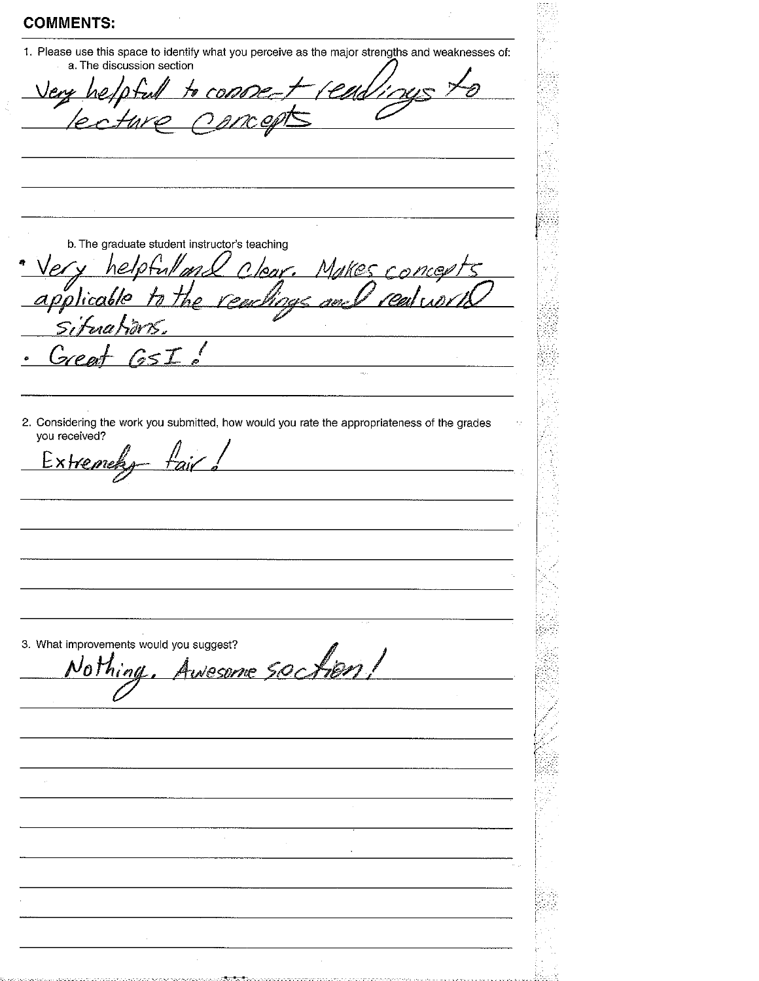1. Please use this space to identify what you perceive as the major strengths and weaknesses of: a. The discussion section

to com

b. The graduate student instructor's teaching

'D'an

hel

Makes concep ne z ינום' <u>06/0</u> EL BAL P est p

2. Considering the work you submitted, how would you rate the appropriateness of the grades you received?

Extremely <u>fair</u>

esome soction! Nothing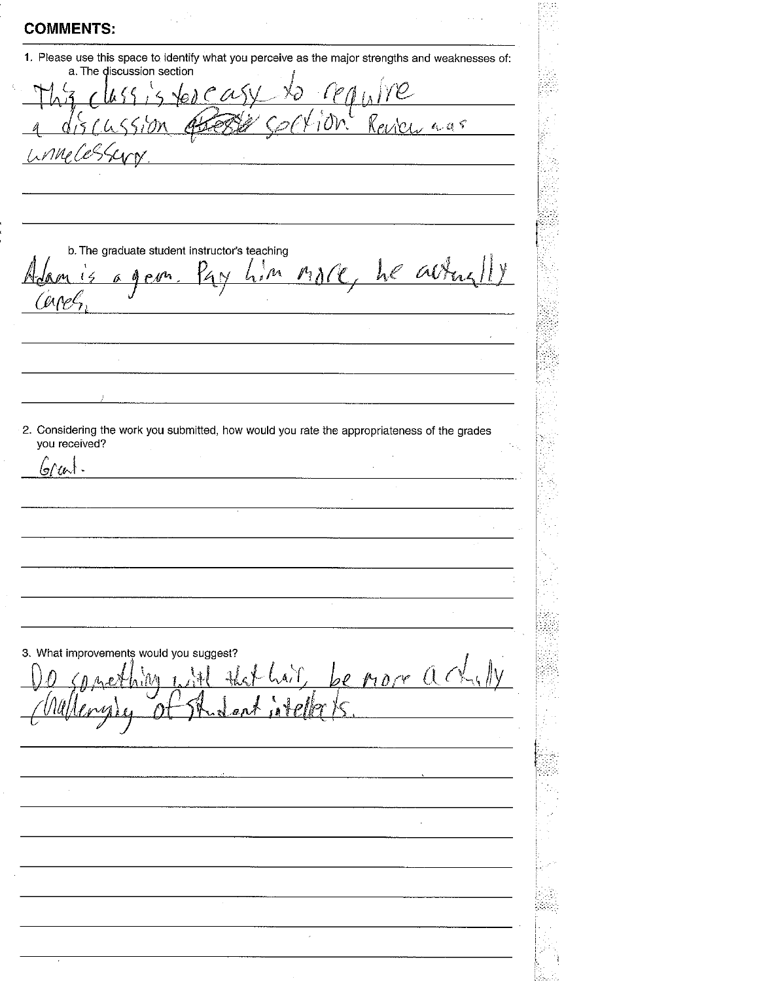**COMMENTS:** 1. Please use this space to identify what you perceive as the major strengths and weaknesses of: a. The discussion section  $\upsilon$  as 1 OV S VM b. The graduate student instructor's teaching Mare, he alter  $\mathcal{M}_{\mathcal{A}}$ Å 2. Considering the work you submitted, how would you rate the appropriateness of the grades you received?  $6/4$ . 3. What improvements would you suggest? nore a Å  $\mathcal{L}$ Æ.

l,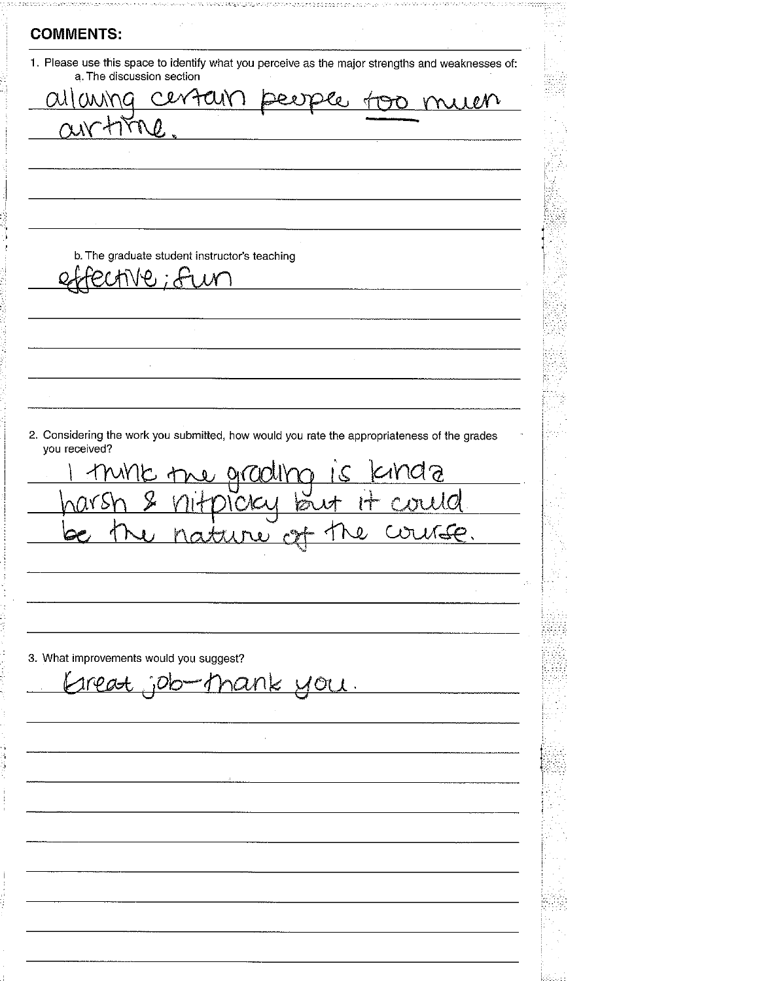**COMMENTS:** 1. Please use this space to identify what you perceive as the major strengths and weaknesses of: a. The discussion section Certain  $QU(M)$ \NG c OO Mill  $\boldsymbol{a}$ ্ৰ b. The graduate student instructor's teaching Φ. 2. Considering the work you submitted, how would you rate the appropriateness of the grades you received? ne arcicli **YZR**  $\infty$ 3. What improvements would you suggest? <u>nank you.</u>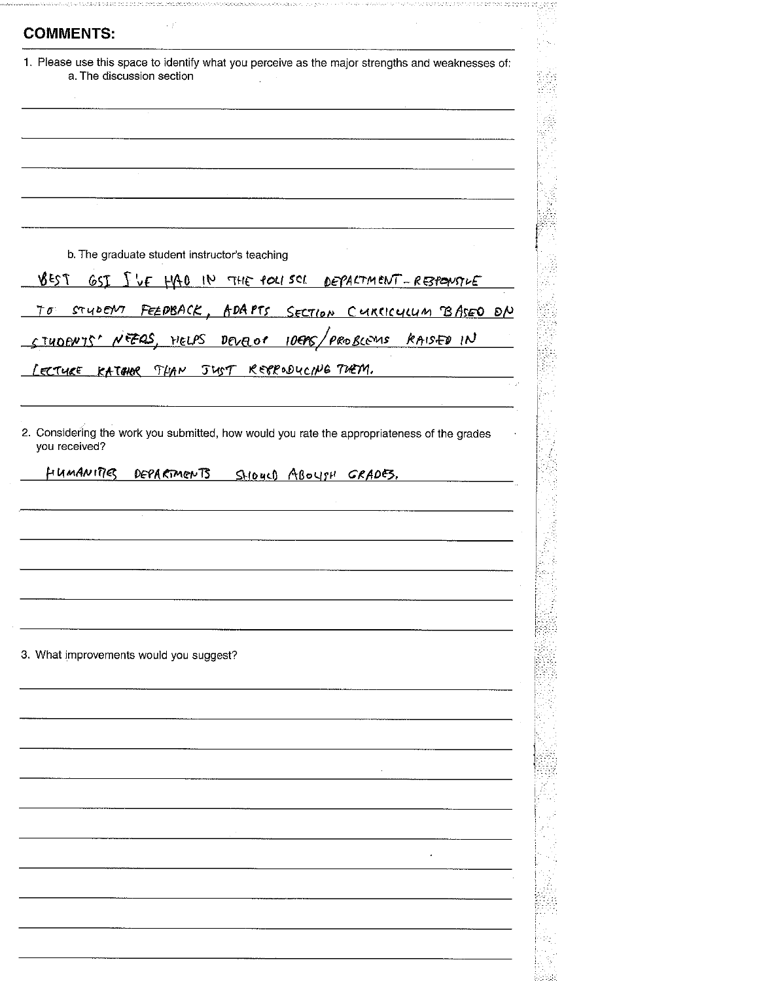|      | 1. Please use this space to identify what you perceive as the major strengths and weaknesses of:<br>a. The discussion section |
|------|-------------------------------------------------------------------------------------------------------------------------------|
|      |                                                                                                                               |
|      |                                                                                                                               |
|      |                                                                                                                               |
|      |                                                                                                                               |
|      |                                                                                                                               |
|      |                                                                                                                               |
|      |                                                                                                                               |
|      | b. The graduate student instructor's teaching                                                                                 |
| 7238 | <u>GSI ILE HAO IN THE POLISCE DEPARTMENT-RESPONSIVE</u>                                                                       |
|      |                                                                                                                               |
|      | <u>TO STUDENT FEEDBACK, ADAPTS SECTION CURCICULUM BASEO ON</u>                                                                |
|      | STUDENTS' NEZAS, HELPS DEVELOS 10EPS/PROBLEMS RAISED IN                                                                       |
|      | LECTURE KATCHOR THAN JUST RESPODUCING TUEM.                                                                                   |
|      |                                                                                                                               |
|      |                                                                                                                               |
|      | HUMANITIES<br>DEPARTMENTS<br>SHOUCH ABOYSH GRADES.                                                                            |
|      |                                                                                                                               |
|      |                                                                                                                               |
|      |                                                                                                                               |
|      |                                                                                                                               |
|      |                                                                                                                               |
|      |                                                                                                                               |
|      | 3. What improvements would you suggest?                                                                                       |
|      |                                                                                                                               |
|      |                                                                                                                               |
|      |                                                                                                                               |
|      |                                                                                                                               |
|      |                                                                                                                               |
|      |                                                                                                                               |
|      |                                                                                                                               |
|      |                                                                                                                               |
|      |                                                                                                                               |
|      |                                                                                                                               |
|      |                                                                                                                               |
|      |                                                                                                                               |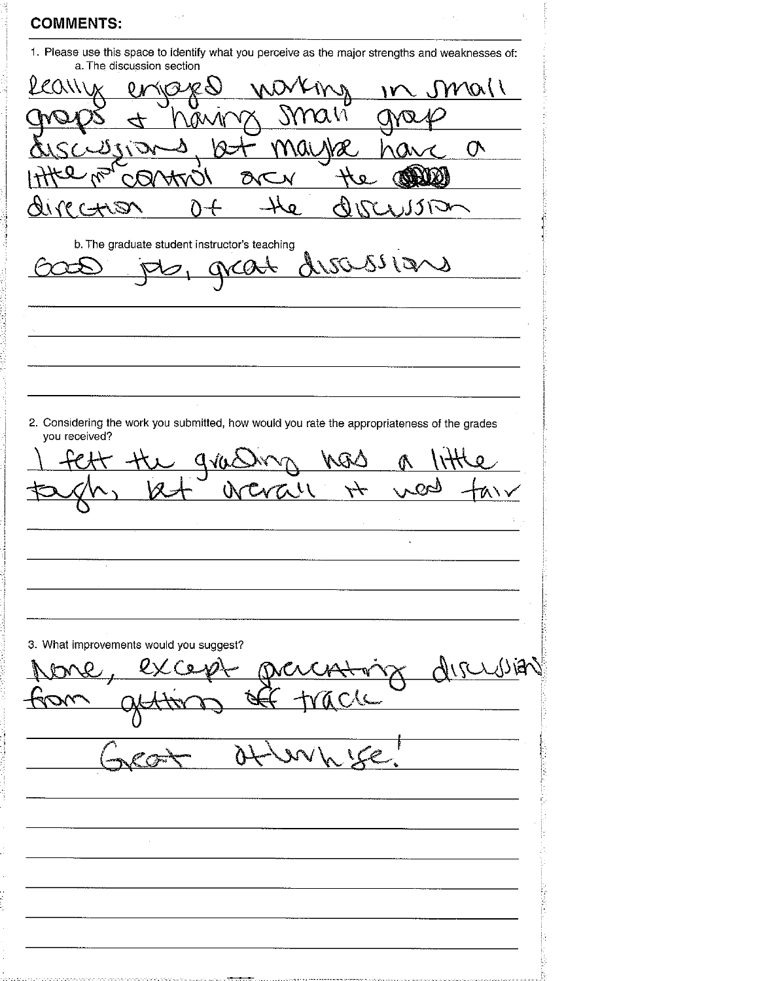1. Please use this space to identify what you perceive as the major strengths and weaknesses of: a. The discussion section y mall  $\ell(\lambda)$  $\lambda$  $\Omega$ À  $\alpha_{\mathcal{U}}$ КR  $\sigma$ ∆⊃ X ŌУ  $\mathbf{o}$ ۷N **CKA** علمو  $TCTST$  $\zeta$ Q) Δ ),JJ \ V b. The graduate student instructor's teaching Lucresians grat 2. Considering the work you submitted, how would you rate the appropriateness of the grades you received?  $Q_{\text{V}}Q$ V سلسلم  $\Delta$ 3. What improvements would you suggest? AIRUSA Ò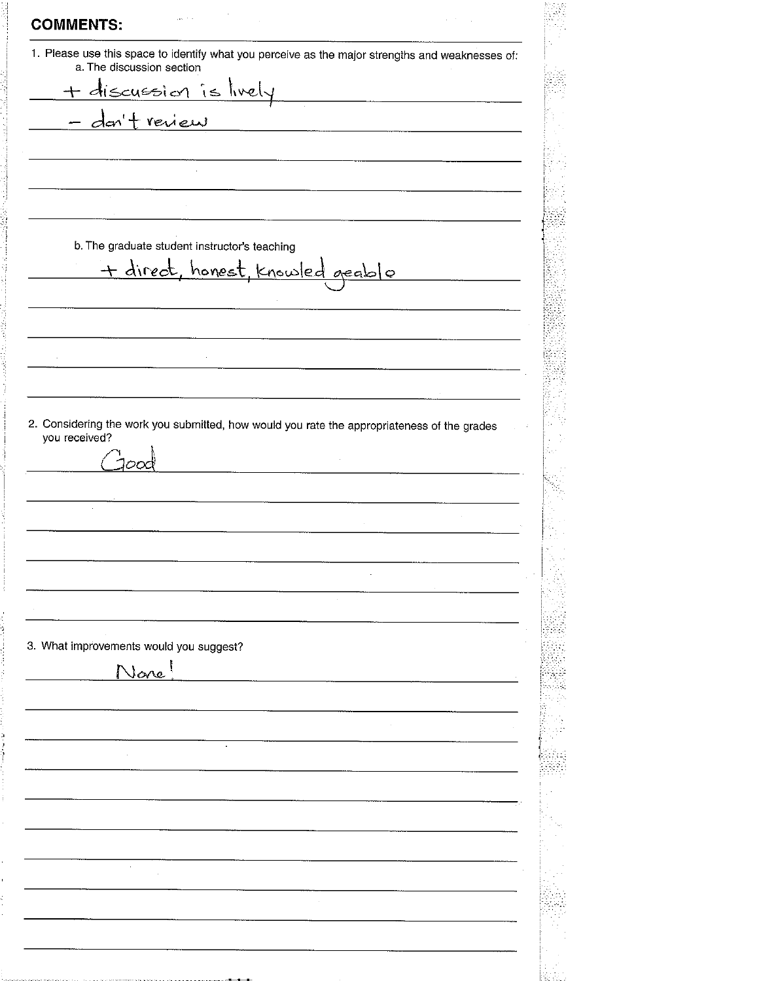**COMMENTS:** 1. Please use this space to identify what you perceive as the major strengths and weaknesses of: a. The discussion section discussion is lively  $+$ review den b. The graduate student instructor's teaching + direct, honest, knowled geable 2. Considering the work you submitted, how would you rate the appropriateness of the grades you received? nη  $\mathcal{L}$ 3. What improvements would you suggest? None!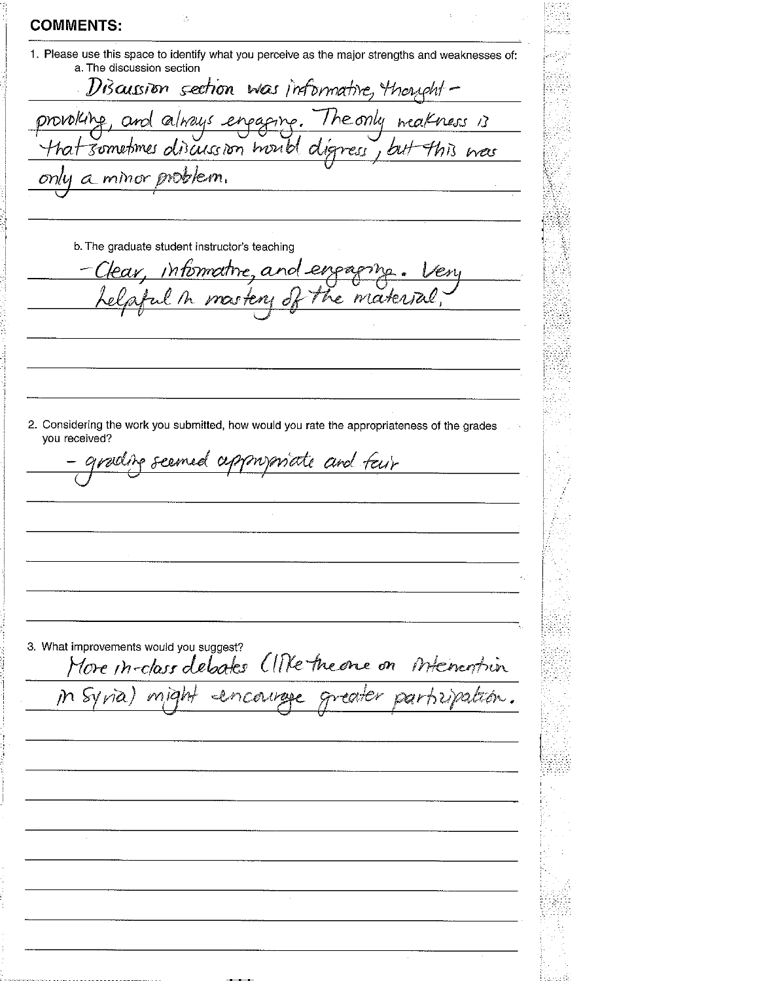**COMMENTS:** 1. Please use this space to identify what you perceive as the major strengths and weaknesses of: a. The discussion section Discussion section was informative, thoughtprovokine The only weak and always enpapine. ness 13 that sometimes oliscussion hould d nes ŁЫ ress a minor problem.  $onlu$ b. The graduate student instructor's teaching intermative, and en raxen mosten 2. Considering the work you submitted, how would you rate the appropriateness of the grades you received? mymate and fair polire  $\mathcal{O}$  1. romed 3. What improvements would you suggest? More in-class debates (INTE the one on internemin m syna might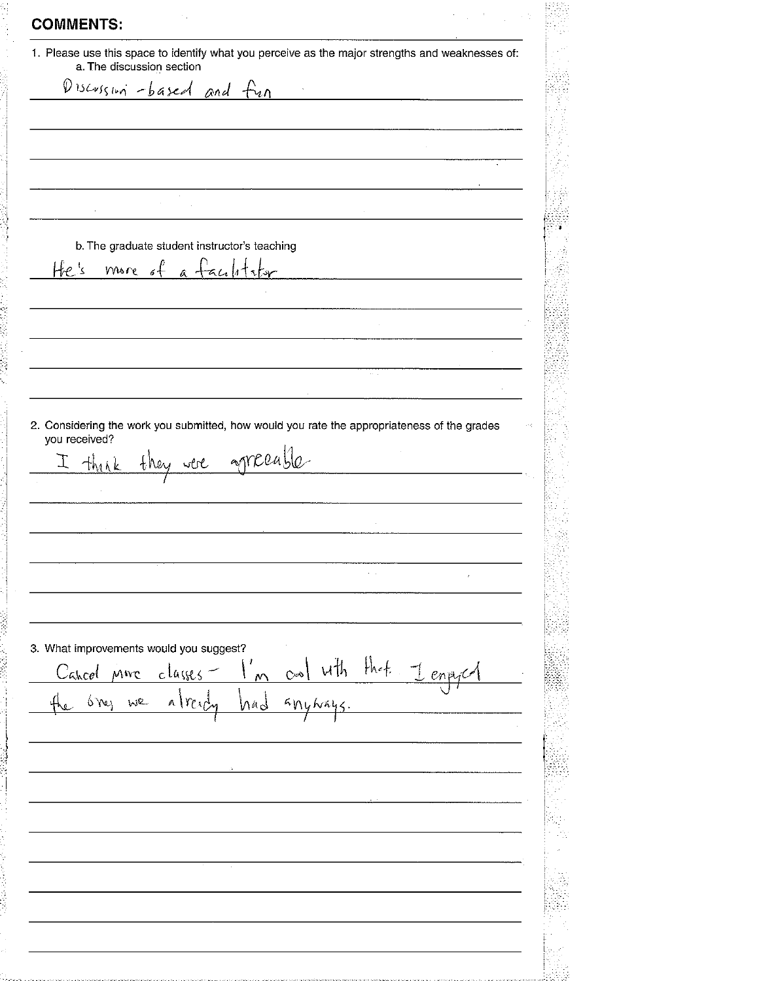**COMMENTS:** 1. Please use this space to identify what you perceive as the major strengths and weaknesses of: a. The discussion section Discussion -based and fun b. The graduate student instructor's teaching  $6f$ a faulity He's more 2. Considering the work you submitted, how would you rate the appropriateness of the grades you received? agreeable 工 think they were l. 3. What improvements would you suggest?  $f$ hef uth enpoca Cahcel classes MWC  $\infty$ We 6 Yes  $A\vee Y$  $4n$ nad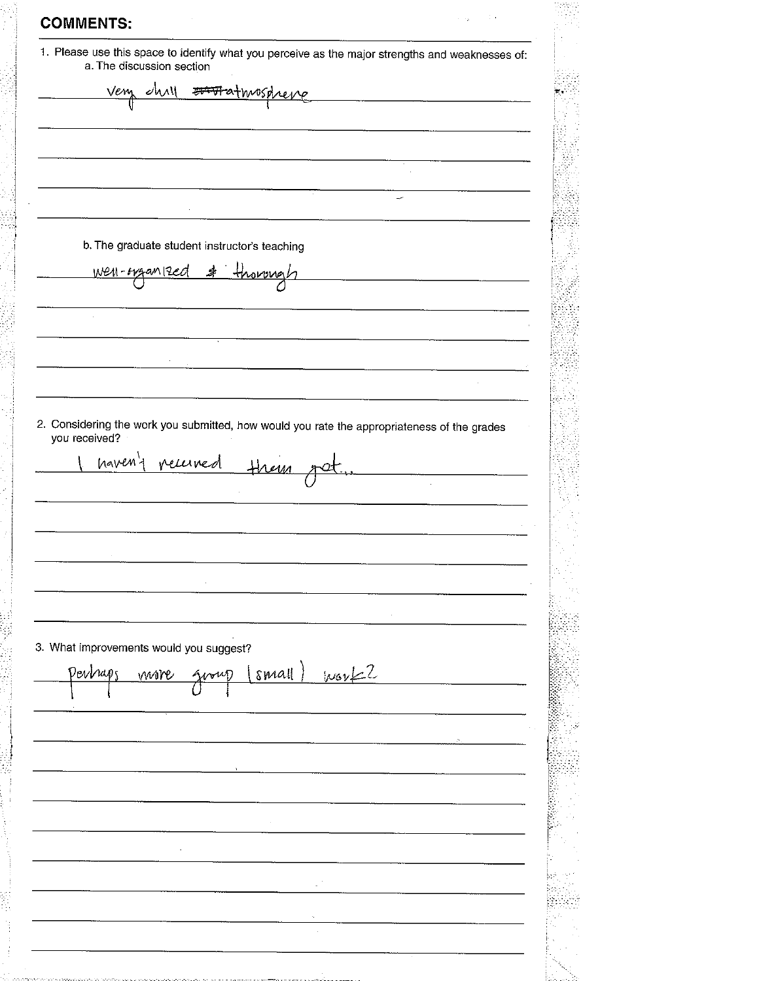**COMMENTS:** 1. Please use this space to identify what you perceive as the major strengths and weaknesses of:<br>a. The discussion section ahay Vem <del>ortist</del> athwisd reve b. The graduate student instructor's teaching <u>Well-tygan12ed</u> svover 2. Considering the work you submitted, how would you rate the appropriateness of the grades you received? haven't received Hrem 3. What improvements would you suggest?  $www2$ small Derbars move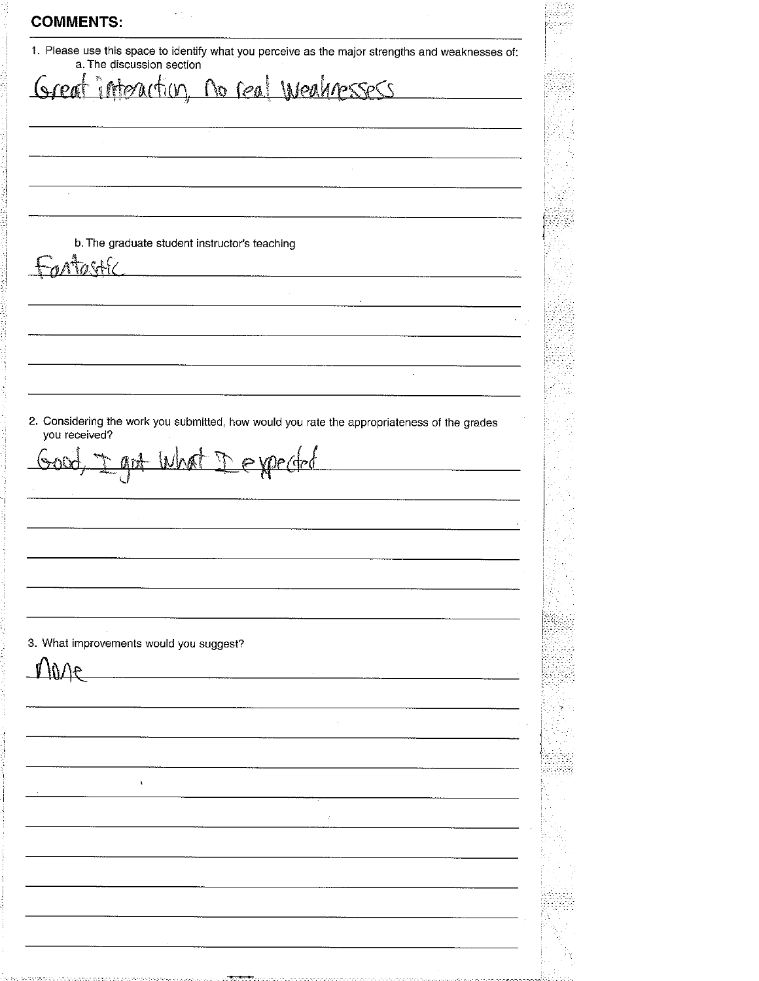**COMMENTS:** 1. Please use this space to identify what you perceive as the major strengths and weaknesses of: a. The discussion section no real Weaknessess  $\sqrt{900}$  $\tau_i$ (m ś b. The graduate student instructor's teaching  $\lambda$ 2. Considering the work you submitted, how would you rate the appropriateness of the grades you received? Dexpected art What <u> 5005 </u> 3. What improvements would you suggest? il)∕∖€  $\mathbf{t}$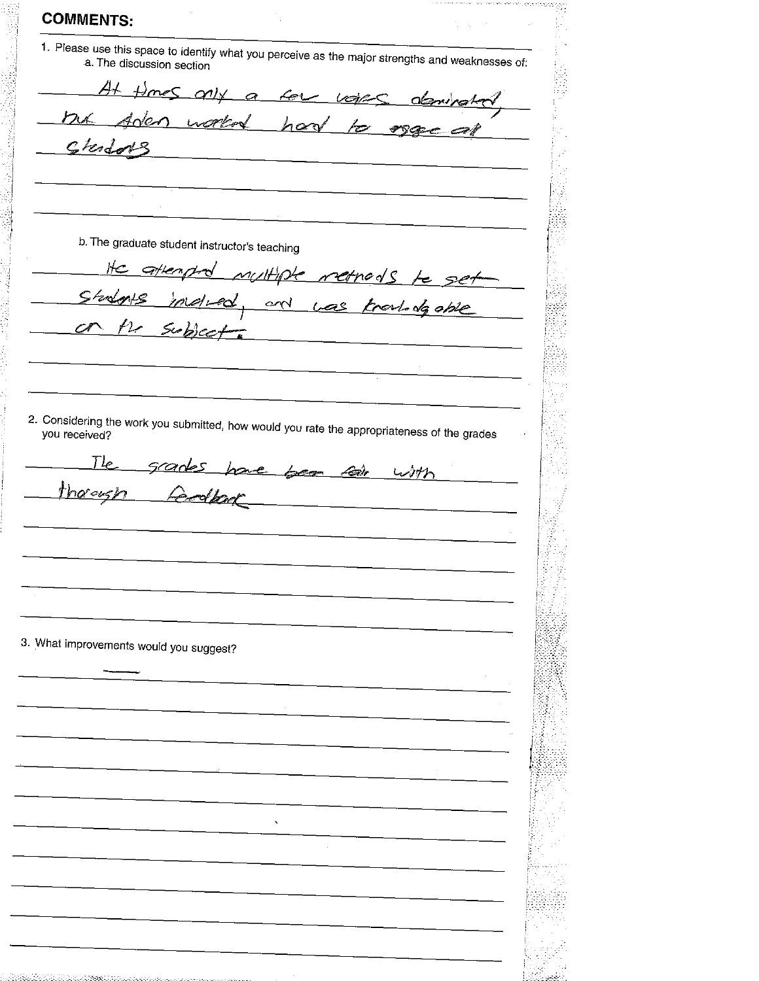**COMMENTS:** 1. Please use this space to identify what you perceive as the major strengths and weaknesses of: a. The discussion section At times any a few votes deminated Aden worked had mx  $k$  organ Clerdors <u>and</u> and the state of the state of b. The graduate student instructor's teaching attenp Multiple retrods S ke  $215$ mali end  $rac{1}{2}$ Knowledgable Subject  $n_{\tau}$ 2. Considering the work you submitted, how would you rate the appropriateness of the grades  $T_{\ell}$ grades have been call with Codeal thorough 3. What improvements would you suggest?  $\ddot{\phantom{1}}$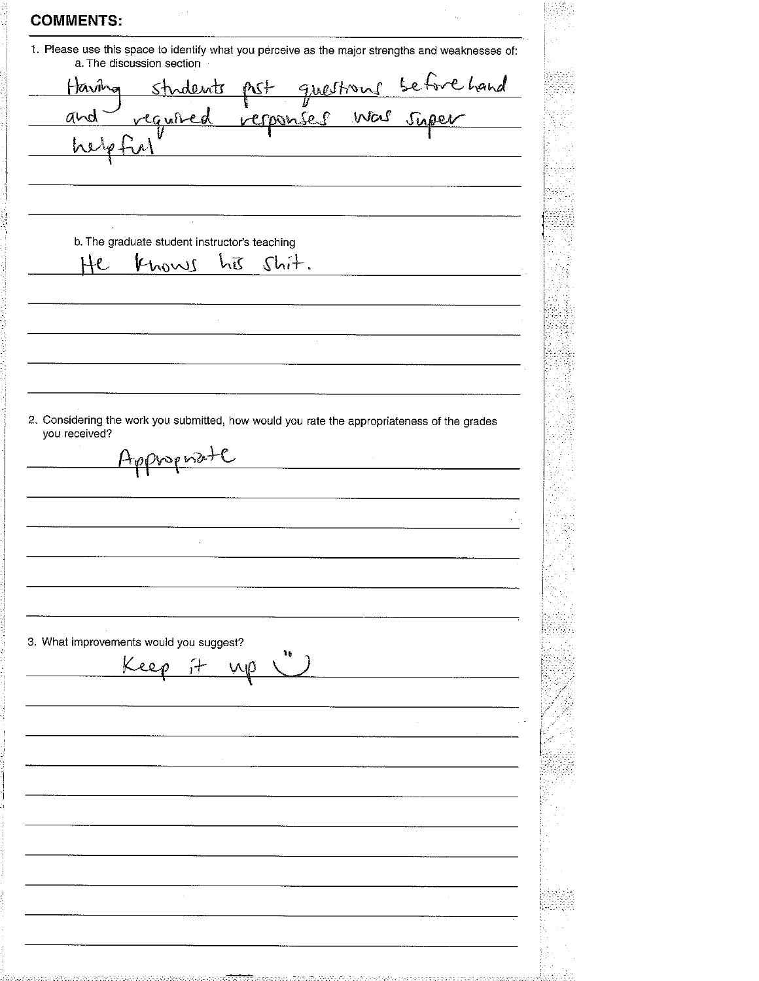| <b>COMMENTS:</b> |
|------------------|
|------------------|

1. Please use this space to identify what you perceive as the major strengths and weaknesses of: a. The discussion section

ehand Haviha greeno nderat  $\mathcal{S}$ Was super ponse a١ b. The graduate student instructor's teaching  $He$ Knows hīs  $Sbit.$ 

2. Considering the work you submitted, how would you rate the appropriateness of the grades you received?

Appropriate

J.

я о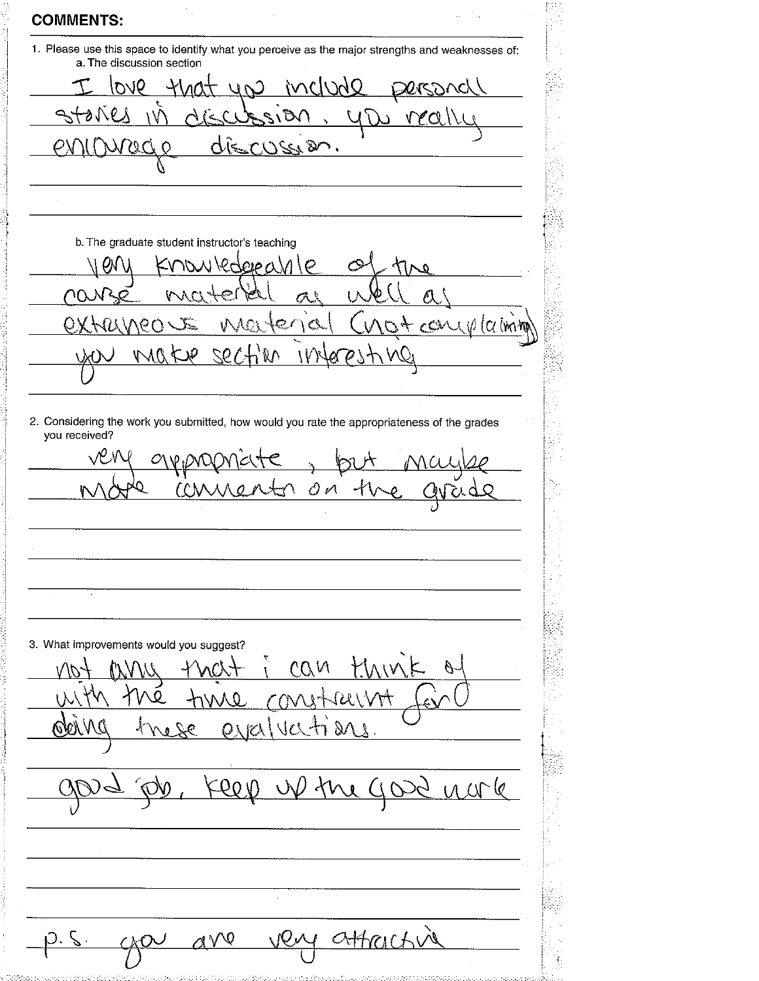| 1. Please use this space to identify what you perceive as the major strengths and weaknesses of:<br>a. The discussion section |         |
|-------------------------------------------------------------------------------------------------------------------------------|---------|
| up includ<br>9VO                                                                                                              |         |
| ١Ď٢                                                                                                                           |         |
|                                                                                                                               |         |
| VS 12/6                                                                                                                       |         |
|                                                                                                                               |         |
|                                                                                                                               |         |
| b. The graduate student instructor's teaching                                                                                 |         |
| lederea                                                                                                                       |         |
|                                                                                                                               |         |
| Marter<br>$\lambda$<br>$\Theta$ (                                                                                             | $C^{0}$ |
| 324                                                                                                                           |         |
|                                                                                                                               |         |
|                                                                                                                               |         |
| 2. Considering the work you submitted, how would you rate the appropriateness of the grades<br>you received?                  |         |
|                                                                                                                               |         |
|                                                                                                                               |         |
| OЙ                                                                                                                            |         |
|                                                                                                                               |         |
|                                                                                                                               |         |
|                                                                                                                               |         |
|                                                                                                                               |         |
|                                                                                                                               |         |
|                                                                                                                               |         |
|                                                                                                                               |         |
|                                                                                                                               |         |
|                                                                                                                               |         |
|                                                                                                                               |         |
| any that i can think<br>the time constructions                                                                                |         |
|                                                                                                                               |         |
| Ob, Keep up the good norle                                                                                                    |         |
|                                                                                                                               |         |
|                                                                                                                               |         |
| 3. What improvements would you suggest?                                                                                       |         |
|                                                                                                                               |         |
|                                                                                                                               |         |
| <u>ave ven</u>                                                                                                                |         |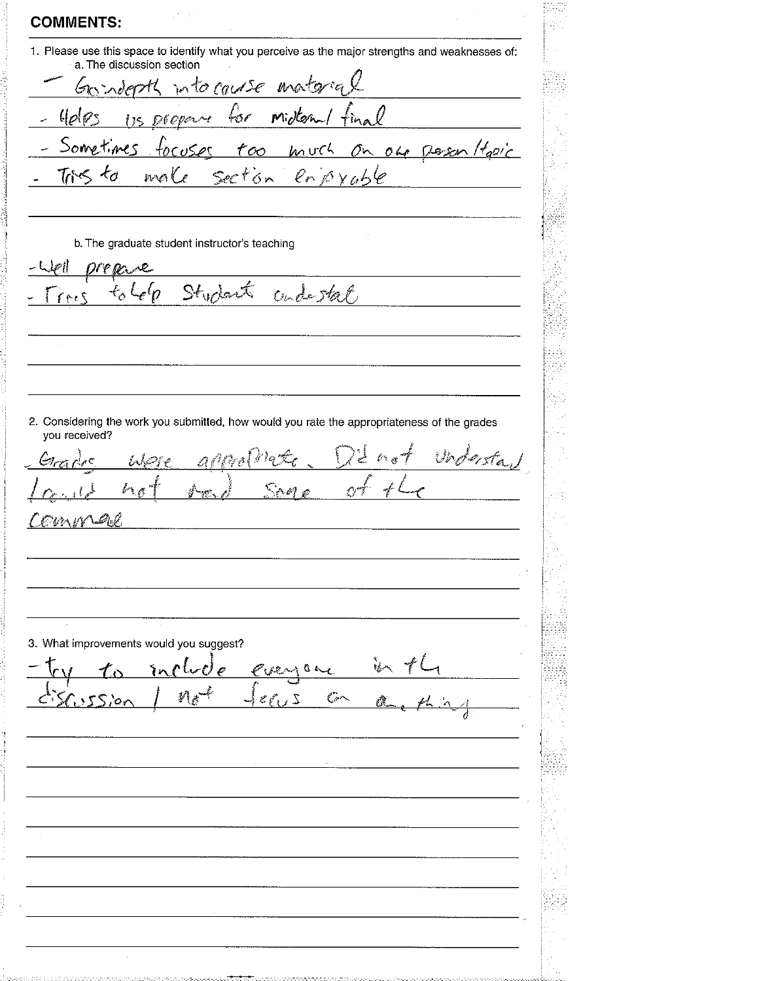**COMMENTS:** 1. Please use this space to identify what you perceive as the major strengths and weaknesses of: a. The discussion section into course materia sopott l s midtern/fi  $\downarrow$  or Sometimes much Ohr Desen Hall .<br>OO  $TrS$  $\star_{\sigma}$ enjoyable male Secton b. The graduate student instructor's teaching  $\gamma_{\mathcal{P} \mathcal{Q}}$ cade stat  $Stychot$  $\epsilon$ 'n  $f \sim c$ 2. Considering the work you submitted, how would you rate the appropriateness of the grades you received? سيد الی کی  $\mathscr{L}$  d  $\mathcal{S} \cap \mathcal{A}$  $\sim 10^{-10}$ Or I ังว่า ศร 3. What improvements would you suggest? ¢  $0 \sim c$ ίn 塑  $\overline{Z}$  $\mathscr{E} \sim$ مقصي حين  $55.0r$  $\rightarrow$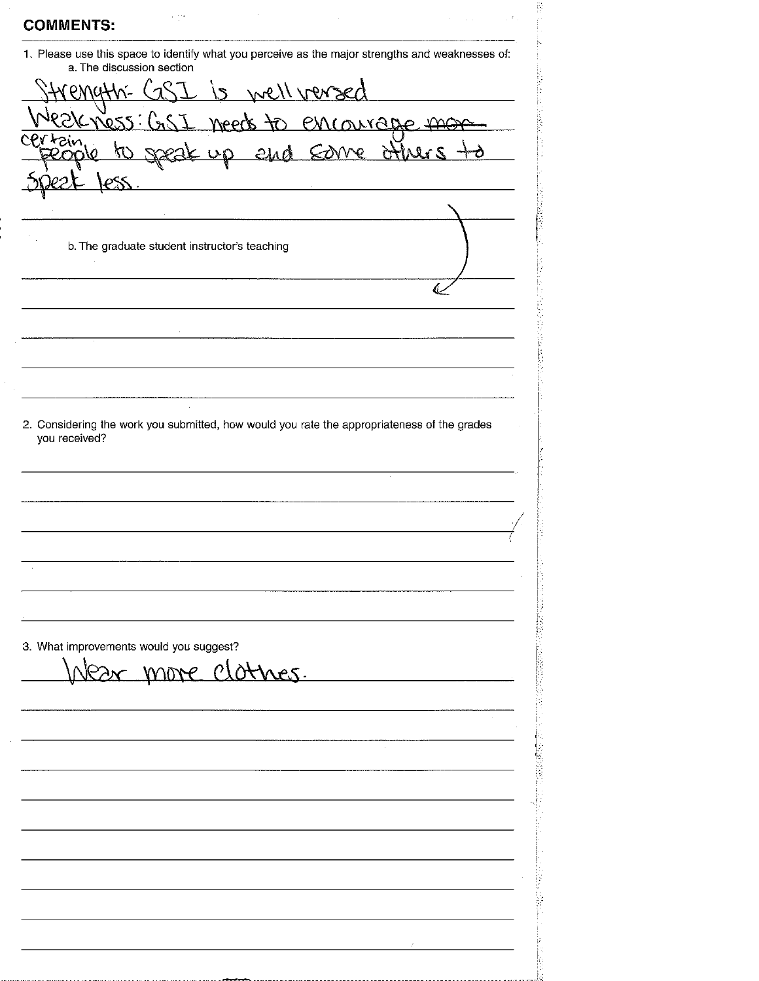**COMMENTS:** 1. Please use this space to identify what you perceive as the major strengths and weaknesses of: a. The discussion section is well versed emath- $\sqrt{2}$ encourage mor  $N$ ess: Moock COVVe and **GHU** b. The graduate student instructor's teaching مية 2. Considering the work you submitted, how would you rate the appropriateness of the grades you received? 3. What improvements would you suggest? lear more clothes.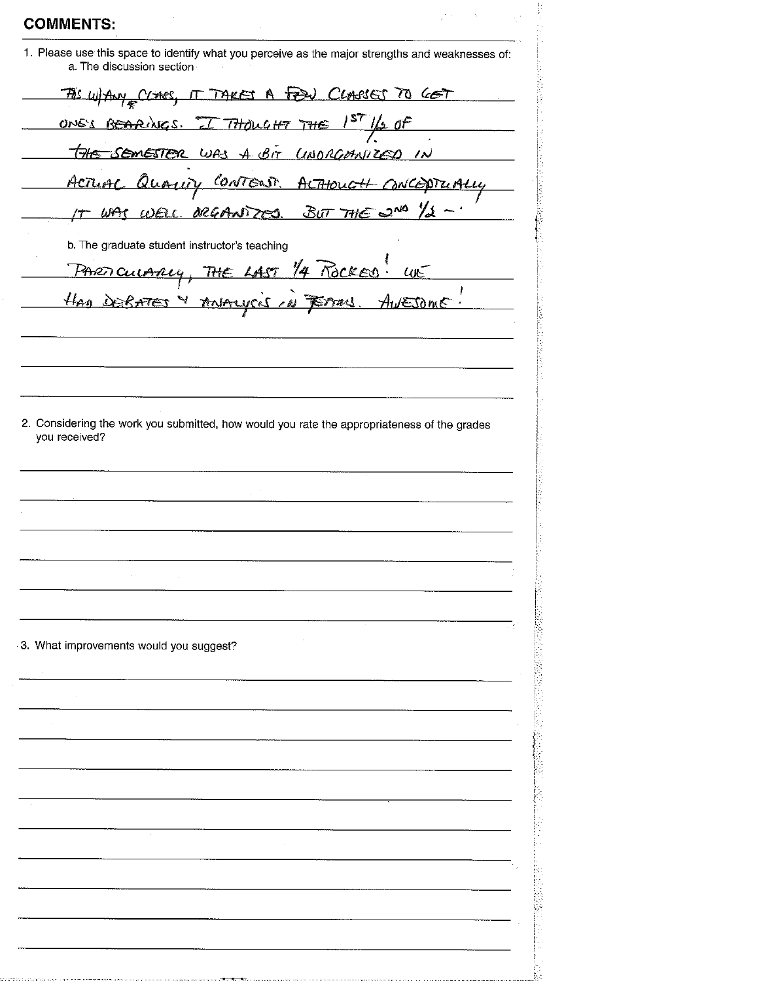| a. The discussion section<br>TAS WHANY CLOSES, IT TAKES A FEW CLASSES TO GET<br>ONE'S BEARINGS. I THOUGHT THE 1ST 1/2 OF<br>THE SEMESTER WAS A BIT LINORGANIZED IN<br>Actuar Quarry CONTENT ACTHOUGH CONCEPTUALLY<br>IT WAS WELL ORGANIZED BUT THE 2ND 1/2 -<br>b. The graduate student instructor's teaching<br>PARTICULARY, THE LAST 1/4 ROCKED. WE<br>2. Considering the work you submitted, how would you rate the appropriateness of the grades<br>3. What improvements would you suggest? |               | 1. Please use this space to identify what you perceive as the major strengths and weaknesses of: |
|-------------------------------------------------------------------------------------------------------------------------------------------------------------------------------------------------------------------------------------------------------------------------------------------------------------------------------------------------------------------------------------------------------------------------------------------------------------------------------------------------|---------------|--------------------------------------------------------------------------------------------------|
|                                                                                                                                                                                                                                                                                                                                                                                                                                                                                                 |               |                                                                                                  |
|                                                                                                                                                                                                                                                                                                                                                                                                                                                                                                 |               |                                                                                                  |
|                                                                                                                                                                                                                                                                                                                                                                                                                                                                                                 |               |                                                                                                  |
|                                                                                                                                                                                                                                                                                                                                                                                                                                                                                                 |               |                                                                                                  |
|                                                                                                                                                                                                                                                                                                                                                                                                                                                                                                 |               |                                                                                                  |
|                                                                                                                                                                                                                                                                                                                                                                                                                                                                                                 |               |                                                                                                  |
|                                                                                                                                                                                                                                                                                                                                                                                                                                                                                                 |               |                                                                                                  |
|                                                                                                                                                                                                                                                                                                                                                                                                                                                                                                 |               |                                                                                                  |
|                                                                                                                                                                                                                                                                                                                                                                                                                                                                                                 |               |                                                                                                  |
|                                                                                                                                                                                                                                                                                                                                                                                                                                                                                                 |               |                                                                                                  |
|                                                                                                                                                                                                                                                                                                                                                                                                                                                                                                 |               |                                                                                                  |
|                                                                                                                                                                                                                                                                                                                                                                                                                                                                                                 |               |                                                                                                  |
|                                                                                                                                                                                                                                                                                                                                                                                                                                                                                                 |               |                                                                                                  |
|                                                                                                                                                                                                                                                                                                                                                                                                                                                                                                 |               |                                                                                                  |
|                                                                                                                                                                                                                                                                                                                                                                                                                                                                                                 |               |                                                                                                  |
|                                                                                                                                                                                                                                                                                                                                                                                                                                                                                                 | you received? |                                                                                                  |
|                                                                                                                                                                                                                                                                                                                                                                                                                                                                                                 |               |                                                                                                  |
|                                                                                                                                                                                                                                                                                                                                                                                                                                                                                                 |               |                                                                                                  |
|                                                                                                                                                                                                                                                                                                                                                                                                                                                                                                 |               |                                                                                                  |
|                                                                                                                                                                                                                                                                                                                                                                                                                                                                                                 |               |                                                                                                  |
|                                                                                                                                                                                                                                                                                                                                                                                                                                                                                                 |               |                                                                                                  |
|                                                                                                                                                                                                                                                                                                                                                                                                                                                                                                 |               |                                                                                                  |
|                                                                                                                                                                                                                                                                                                                                                                                                                                                                                                 |               |                                                                                                  |
|                                                                                                                                                                                                                                                                                                                                                                                                                                                                                                 |               |                                                                                                  |
|                                                                                                                                                                                                                                                                                                                                                                                                                                                                                                 |               |                                                                                                  |
|                                                                                                                                                                                                                                                                                                                                                                                                                                                                                                 |               |                                                                                                  |
|                                                                                                                                                                                                                                                                                                                                                                                                                                                                                                 |               |                                                                                                  |
|                                                                                                                                                                                                                                                                                                                                                                                                                                                                                                 |               |                                                                                                  |
|                                                                                                                                                                                                                                                                                                                                                                                                                                                                                                 |               |                                                                                                  |
|                                                                                                                                                                                                                                                                                                                                                                                                                                                                                                 |               |                                                                                                  |
|                                                                                                                                                                                                                                                                                                                                                                                                                                                                                                 |               |                                                                                                  |
|                                                                                                                                                                                                                                                                                                                                                                                                                                                                                                 |               |                                                                                                  |
|                                                                                                                                                                                                                                                                                                                                                                                                                                                                                                 |               |                                                                                                  |
|                                                                                                                                                                                                                                                                                                                                                                                                                                                                                                 |               |                                                                                                  |
|                                                                                                                                                                                                                                                                                                                                                                                                                                                                                                 |               |                                                                                                  |
|                                                                                                                                                                                                                                                                                                                                                                                                                                                                                                 |               |                                                                                                  |
|                                                                                                                                                                                                                                                                                                                                                                                                                                                                                                 |               |                                                                                                  |
|                                                                                                                                                                                                                                                                                                                                                                                                                                                                                                 |               |                                                                                                  |

Website the Control of the Control of the Control of the Control of the Control of the Control of the Control of the Control of the Control of the Control of the Control of the Control of the Control of the Control of the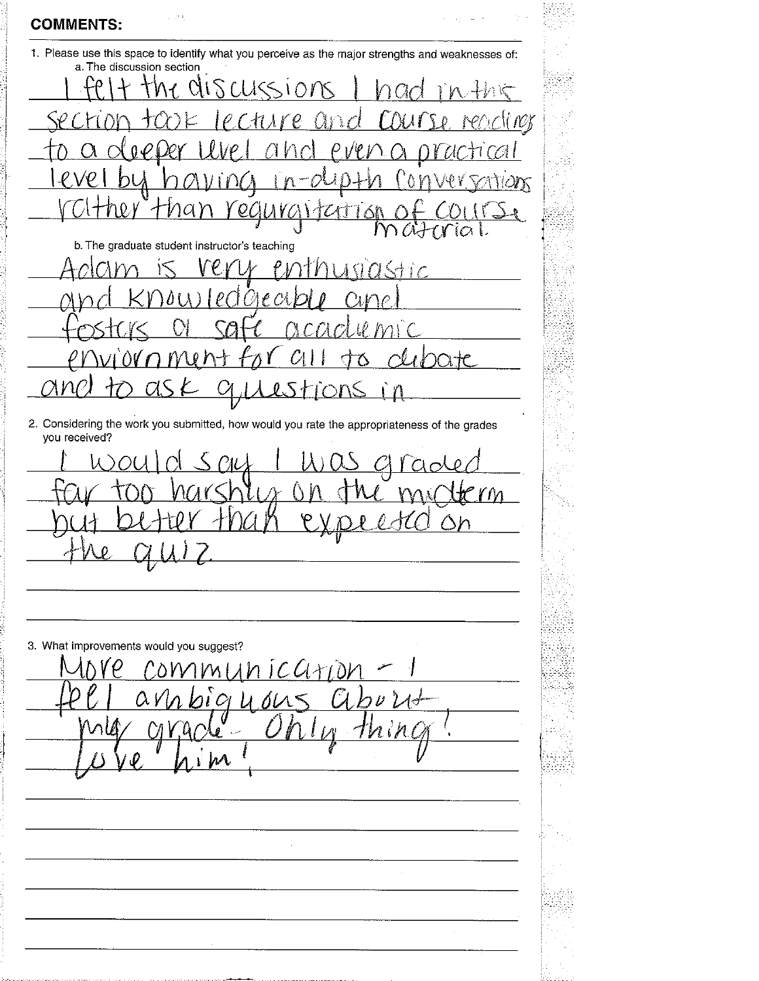**COMMENTS:** 

1. Please use this space to identify what you perceive as the major strengths and weaknesses of: a. The discussion section alscursions  $+h$  k  $\Omega$ ror  $\mathcal{M}$  $\boldsymbol{\mathcal{O}}$ and  $\hat{D}$  $\lambda$ Π  $\mathcal{L}$  $\prod_{i=1}^{n}$ ∕∖ - 2 A  $\partial\mathcal{K}$ Ma  $\mathcal{O}$ *CITYO* f M af t V  $\Omega$ b. The graduate student instructor's teaching astic €  $\ell$  $\theta$  )  $\Lambda$ 75 አተሮ a  $\mathcal{U}$ l  $\sum$ Л 2. Considering the work you submitted, how would you rate the appropriateness of the grades you received?  $\Gamma$  $\mathbf{v}$ 3. What improvements would you suggest?  $1NICGATD$  $VM$  $0\Lambda$  $\boldsymbol{\mathcal{U}}$ 21 OI U فلأناد ι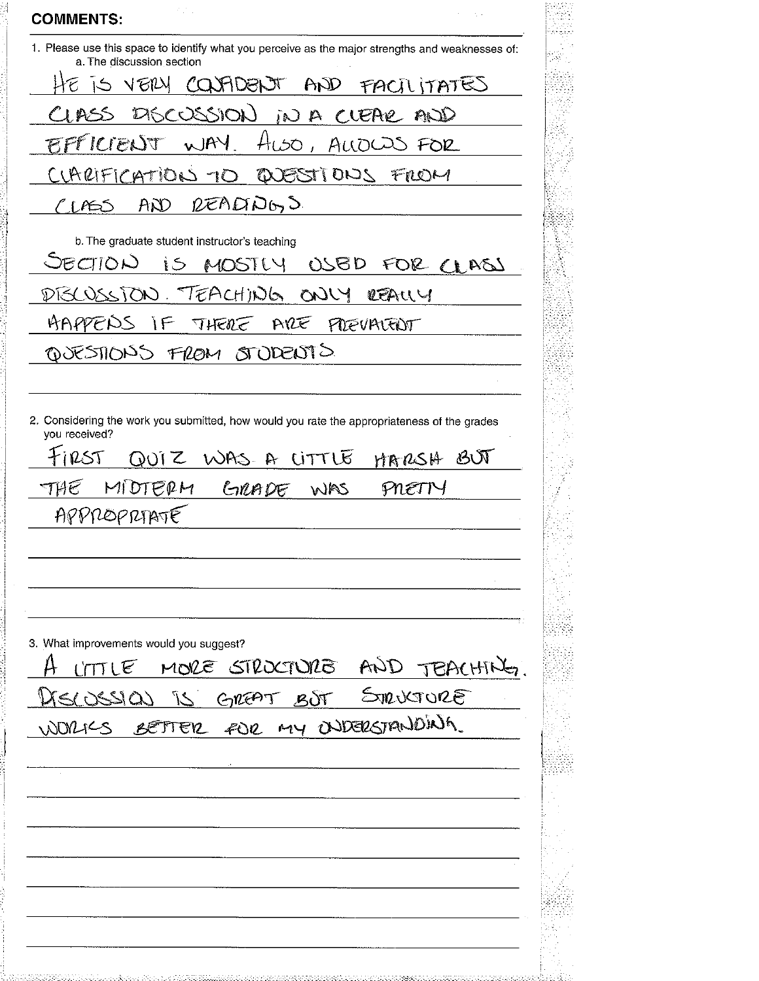| 1. Please use this space to identify what you perceive as the major strengths and weaknesses of:<br>a. The discussion section |           |
|-------------------------------------------------------------------------------------------------------------------------------|-----------|
| IS VEILY COUFIDENT AND FACTLITATES                                                                                            |           |
| CLASS DISCUSSION IN A CLEAR AND                                                                                               |           |
| EFFICIENT WAY. HUSO, ALLOWS FOR                                                                                               |           |
| CLARIFICATION TO QUESTIONS FROM                                                                                               |           |
| READADGO<br>$A\mathcal{D}$<br>C LASS                                                                                          |           |
| b. The graduate student instructor's teaching                                                                                 |           |
| SECTION<br>IS MOSTLY USBD FOR CLASS                                                                                           |           |
| PISCOSSION. TEACHING ONLY REALLY                                                                                              |           |
| AAPPENS IF THERE ARE PREVAIENT                                                                                                |           |
| QUESTIONS FROM STODENTS                                                                                                       |           |
|                                                                                                                               |           |
| you received?<br>255<br>QUIZ WAS A LITTLE<br>GRADE WAS<br>MIDTERM<br>THE.<br>PNETT<br>APPROPRIATE                             | MARSH BUT |
|                                                                                                                               |           |
| 3. What improvements would you suggest?<br>LITTLE MORE STROCTURE AND TEACHING<br>LISCOSSION IS GREAT BOT STRUCTURE            |           |
|                                                                                                                               |           |
| WORK'S BETTER FOR MY ONDERSTANDING.                                                                                           |           |
|                                                                                                                               |           |
|                                                                                                                               |           |
|                                                                                                                               |           |
|                                                                                                                               |           |
|                                                                                                                               |           |
|                                                                                                                               |           |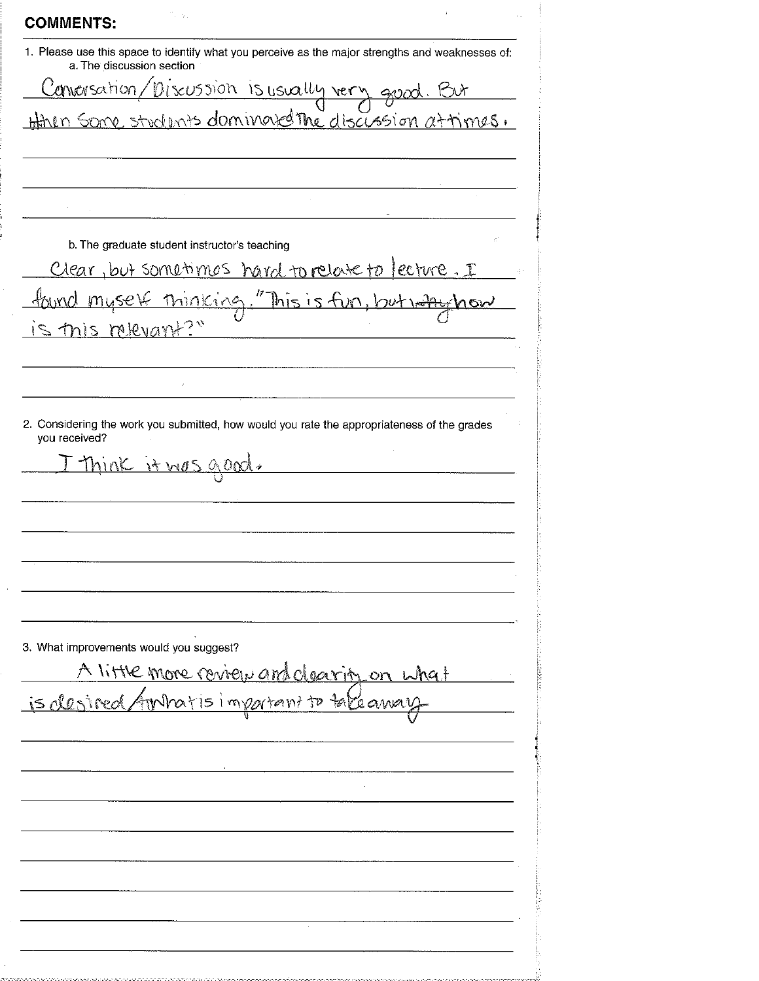| <b>COMMENTS:</b>                                                                                                              |  |
|-------------------------------------------------------------------------------------------------------------------------------|--|
| 1. Please use this space to identify what you perceive as the major strengths and weaknesses of:<br>a. The discussion section |  |
|                                                                                                                               |  |
| Conversation/Discussion is usually very good. But                                                                             |  |
|                                                                                                                               |  |
|                                                                                                                               |  |
| b. The graduate student instructor's teaching                                                                                 |  |
| Clear, but sometimes hand to relate to lecture. I                                                                             |  |
|                                                                                                                               |  |
| this relevant                                                                                                                 |  |
|                                                                                                                               |  |
|                                                                                                                               |  |
|                                                                                                                               |  |
|                                                                                                                               |  |
| 3. What improvements would you suggest?                                                                                       |  |
|                                                                                                                               |  |
| A little more review and clearity on what<br>is desired Ambatis impatent to take away                                         |  |
|                                                                                                                               |  |
|                                                                                                                               |  |
|                                                                                                                               |  |
|                                                                                                                               |  |
|                                                                                                                               |  |
|                                                                                                                               |  |
|                                                                                                                               |  |
|                                                                                                                               |  |

ж×

 $\frac{1}{2}$ 

andari

þ

 $\frac{1}{2} \left( \frac{1}{2} \frac{1}{2} \frac{1}{2} \frac{1}{2} \frac{1}{2} \frac{1}{2} \frac{1}{2} \frac{1}{2} \frac{1}{2} \frac{1}{2} \frac{1}{2} \frac{1}{2} \frac{1}{2} \frac{1}{2} \frac{1}{2} \frac{1}{2} \frac{1}{2} \frac{1}{2} \frac{1}{2} \frac{1}{2} \frac{1}{2} \frac{1}{2} \frac{1}{2} \frac{1}{2} \frac{1}{2} \frac{1}{2} \frac{1}{2} \frac{1}{2} \frac{1}{2} \frac{1}{2}$ 

þ.

ka sara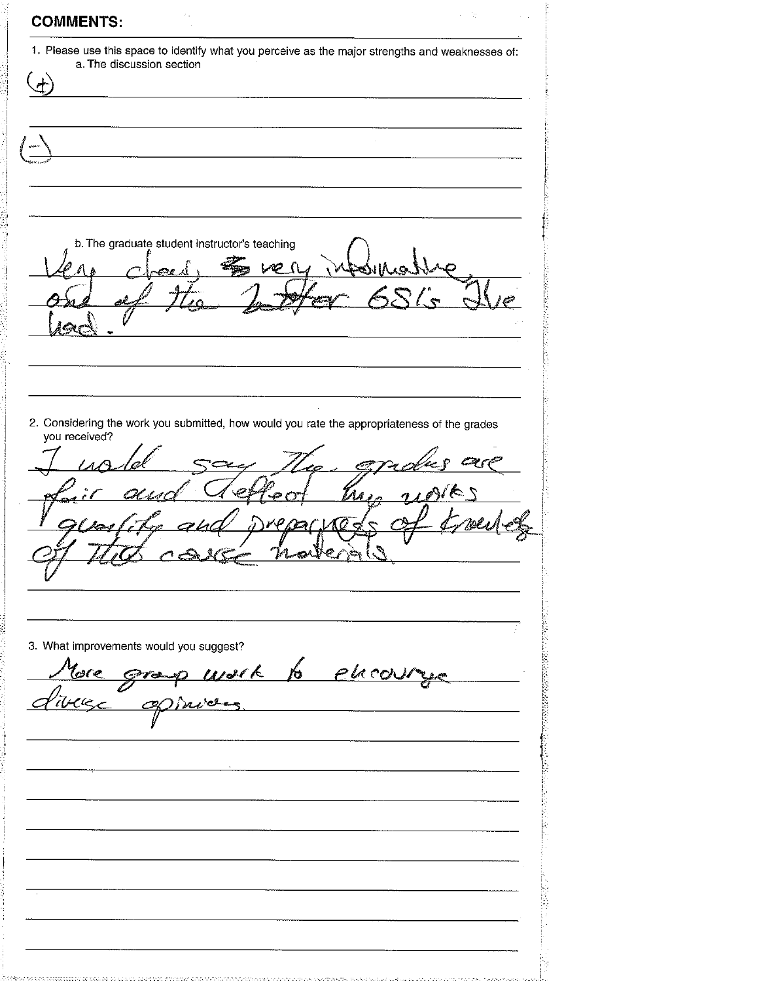|               | 1. Please use this space to identify what you perceive as the major strengths and weaknesses of: |
|---------------|--------------------------------------------------------------------------------------------------|
|               | a. The discussion section                                                                        |
|               |                                                                                                  |
|               |                                                                                                  |
|               |                                                                                                  |
|               |                                                                                                  |
|               |                                                                                                  |
|               |                                                                                                  |
|               |                                                                                                  |
|               |                                                                                                  |
|               |                                                                                                  |
|               |                                                                                                  |
|               | b. The graduate student instructor's teaching                                                    |
|               |                                                                                                  |
|               |                                                                                                  |
|               |                                                                                                  |
|               |                                                                                                  |
|               |                                                                                                  |
|               |                                                                                                  |
|               |                                                                                                  |
|               |                                                                                                  |
|               |                                                                                                  |
|               | 2. Considering the work you submitted, how would you rate the appropriateness of the grades      |
| you received? |                                                                                                  |
|               |                                                                                                  |
|               |                                                                                                  |
|               |                                                                                                  |
|               |                                                                                                  |
|               |                                                                                                  |
|               |                                                                                                  |
|               |                                                                                                  |
|               |                                                                                                  |
|               |                                                                                                  |
|               |                                                                                                  |
|               |                                                                                                  |
|               | 3. What improvements would you suggest?                                                          |
|               |                                                                                                  |
|               | More group work to elecoury                                                                      |
|               |                                                                                                  |
|               |                                                                                                  |
|               |                                                                                                  |
|               |                                                                                                  |
|               |                                                                                                  |
|               |                                                                                                  |
|               |                                                                                                  |
|               |                                                                                                  |
|               |                                                                                                  |
|               |                                                                                                  |
|               |                                                                                                  |
|               |                                                                                                  |
|               |                                                                                                  |
|               |                                                                                                  |
|               |                                                                                                  |
|               |                                                                                                  |

 $\frac{1}{2}$  and  $\frac{1}{2}$